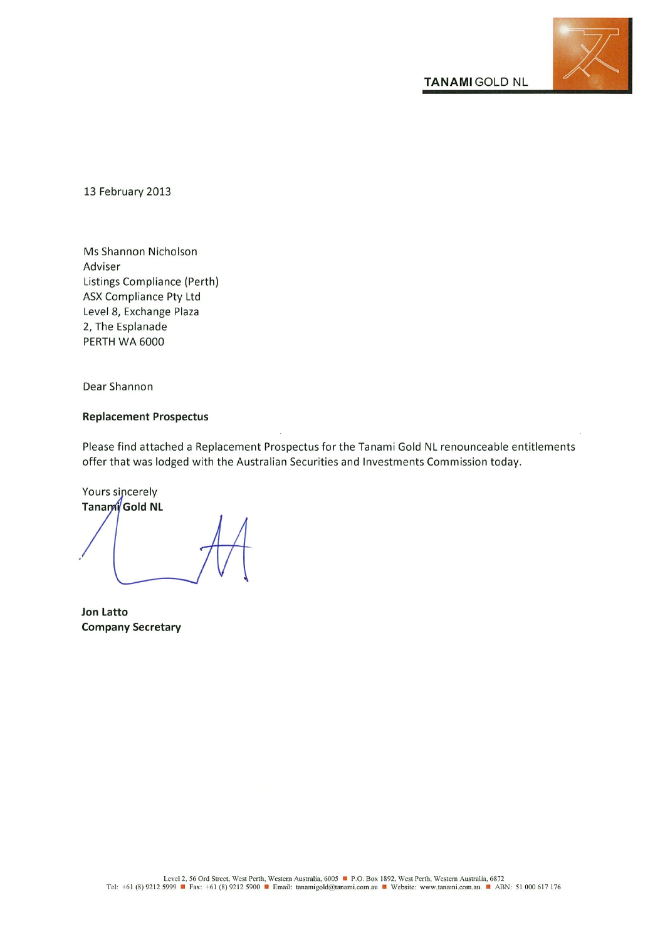

**TANAMI GOLD NL** 

13 February 2013

Ms Shannon Nicholson Adviser Listings Compliance (Perth) **ASX Compliance Pty Ltd** Level 8, Exchange Plaza 2, The Esplanade PERTH WA 6000

Dear Shannon

#### **Replacement Prospectus**

Please find attached a Replacement Prospectus for the Tanami Gold NL renounceable entitlements offer that was lodged with the Australian Securities and Investments Commission today.

Yours sincerely Tanami Gold NL

**Jon Latto Company Secretary**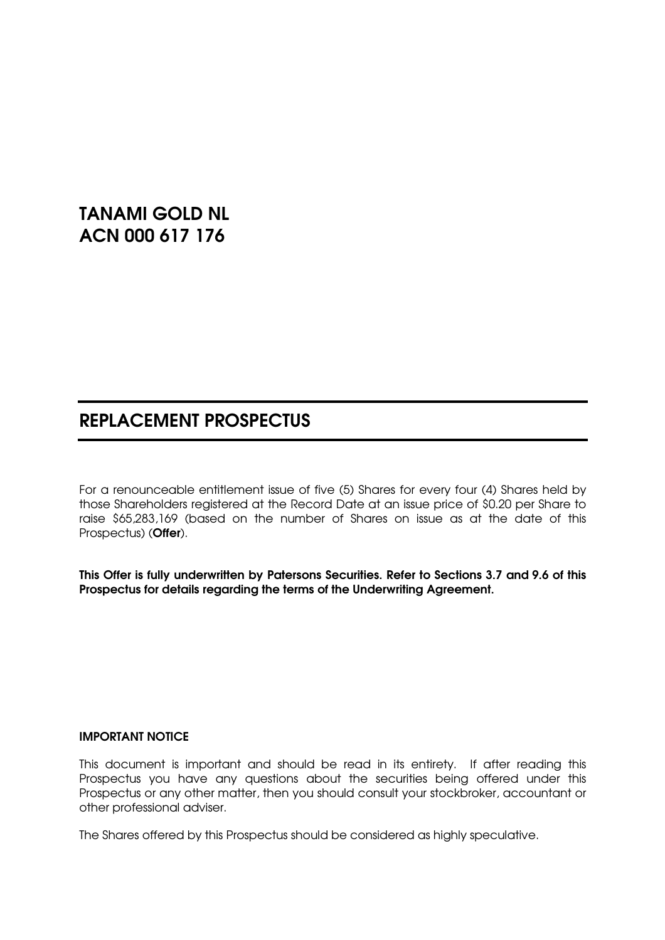# TANAMI GOLD NL ACN 000 617 176

# REPLACEMENT PROSPECTUS

For a renounceable entitlement issue of five (5) Shares for every four (4) Shares held by those Shareholders registered at the Record Date at an issue price of \$0.20 per Share to raise \$65,283,169 (based on the number of Shares on issue as at the date of this Prospectus) (Offer).

This Offer is fully underwritten by Patersons Securities. Refer to Sections 3.7 and 9.6 of this Prospectus for details regarding the terms of the Underwriting Agreement.

#### IMPORTANT NOTICE

This document is important and should be read in its entirety. If after reading this Prospectus you have any questions about the securities being offered under this Prospectus or any other matter, then you should consult your stockbroker, accountant or other professional adviser.

The Shares offered by this Prospectus should be considered as highly speculative.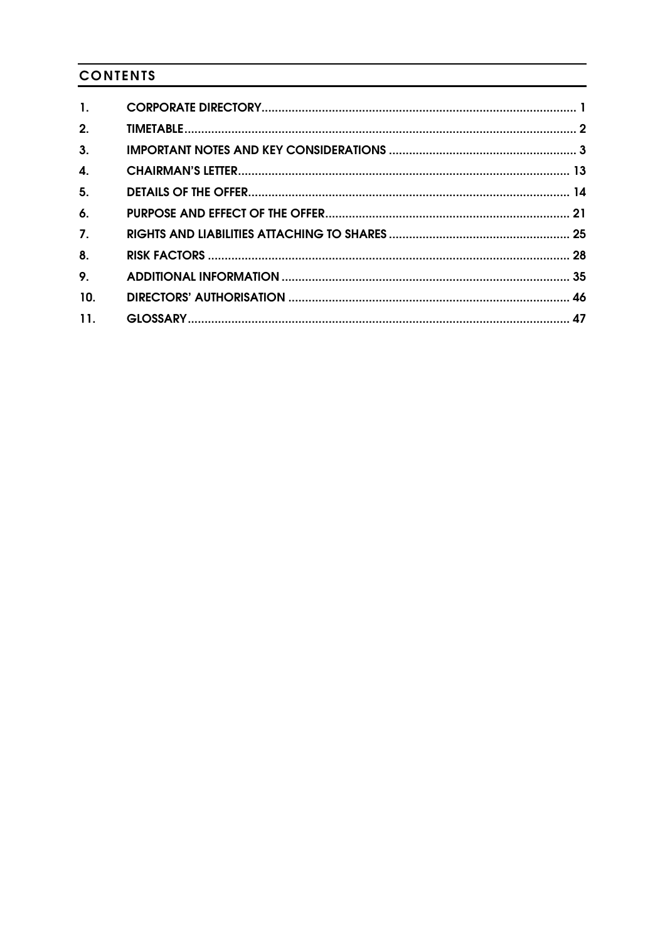# **CONTENTS**

| $\mathbf{1}$ .            |  |
|---------------------------|--|
| 2.                        |  |
| 3.                        |  |
| $\overline{\mathbf{4}}$ . |  |
| 5 <sub>1</sub>            |  |
| 6.                        |  |
| $\overline{7}$ .          |  |
| 8.                        |  |
| 9.                        |  |
| 10.                       |  |
| 11.                       |  |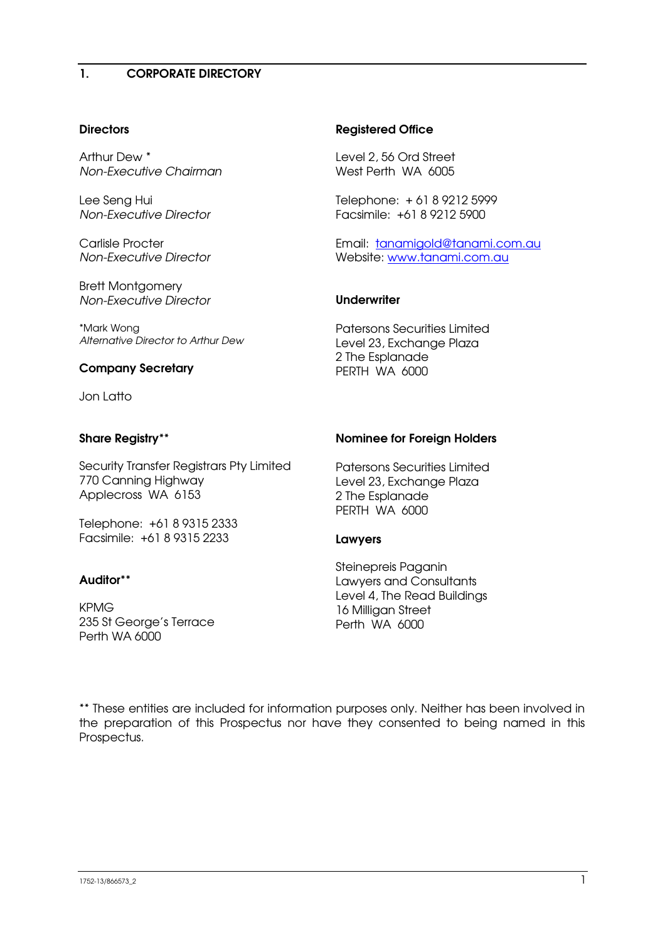# 1. CORPORATE DIRECTORY

# **Directors**

Arthur Dew \* Non-Executive Chairman

Lee Seng Hui Non-Executive Director

Carlisle Procter Non-Executive Director

Brett Montgomery Non-Executive Director

\*Mark Wong Alternative Director to Arthur Dew

# Company Secretary

Jon Latto

# Share Registry\*\*

Security Transfer Registrars Pty Limited 770 Canning Highway Applecross WA 6153

Telephone: +61 8 9315 2333 Facsimile: +61 8 9315 2233

# Auditor\*\*

KPMG 235 St George's Terrace Perth WA 6000

### Registered Office

Level 2, 56 Ord Street West Perth WA 6005

Telephone: + 61 8 9212 5999 Facsimile: +61 8 9212 5900

Email: tanamigold@tanami.com.au Website: www.tanami.com.au

### **Underwriter**

Patersons Securities Limited Level 23, Exchange Plaza 2 The Esplanade PERTH WA 6000

# Nominee for Foreign Holders

Patersons Securities Limited Level 23, Exchange Plaza 2 The Esplanade PERTH WA 6000

### Lawyers

Steinepreis Paganin Lawyers and Consultants Level 4, The Read Buildings 16 Milligan Street Perth WA 6000

\*\* These entities are included for information purposes only. Neither has been involved in the preparation of this Prospectus nor have they consented to being named in this Prospectus.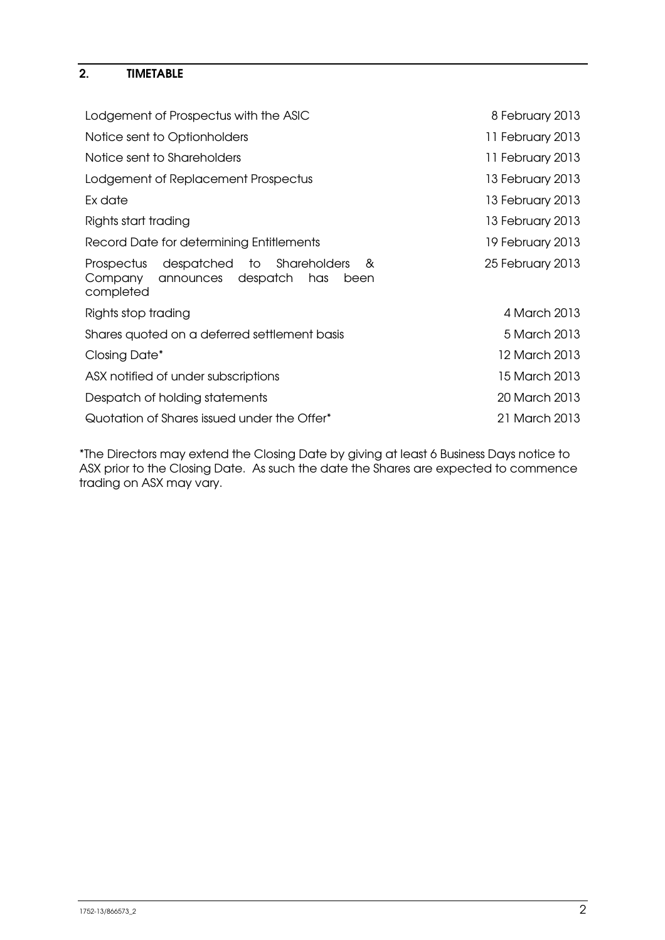# 2. TIMETABLE

| Lodgement of Prospectus with the ASIC                                                                          | 8 February 2013  |
|----------------------------------------------------------------------------------------------------------------|------------------|
| Notice sent to Optionholders                                                                                   | 11 February 2013 |
| Notice sent to Shareholders                                                                                    | 11 February 2013 |
| Lodgement of Replacement Prospectus                                                                            | 13 February 2013 |
| Ex date                                                                                                        | 13 February 2013 |
| Rights start trading                                                                                           | 13 February 2013 |
| Record Date for determining Entitlements                                                                       | 19 February 2013 |
| despatched to<br>Shareholders<br>Prospectus<br>୍ୟ<br>announces despatch<br>has<br>Company<br>been<br>completed | 25 February 2013 |
| Rights stop trading                                                                                            | 4 March 2013     |
| Shares quoted on a deferred settlement basis                                                                   | 5 March 2013     |
| Closing Date*                                                                                                  | 12 March 2013    |
| ASX notified of under subscriptions                                                                            | 15 March 2013    |
| Despatch of holding statements                                                                                 | 20 March 2013    |
| Quotation of Shares issued under the Offer*                                                                    | 21 March 2013    |
|                                                                                                                |                  |

\*The Directors may extend the Closing Date by giving at least 6 Business Days notice to ASX prior to the Closing Date. As such the date the Shares are expected to commence trading on ASX may vary.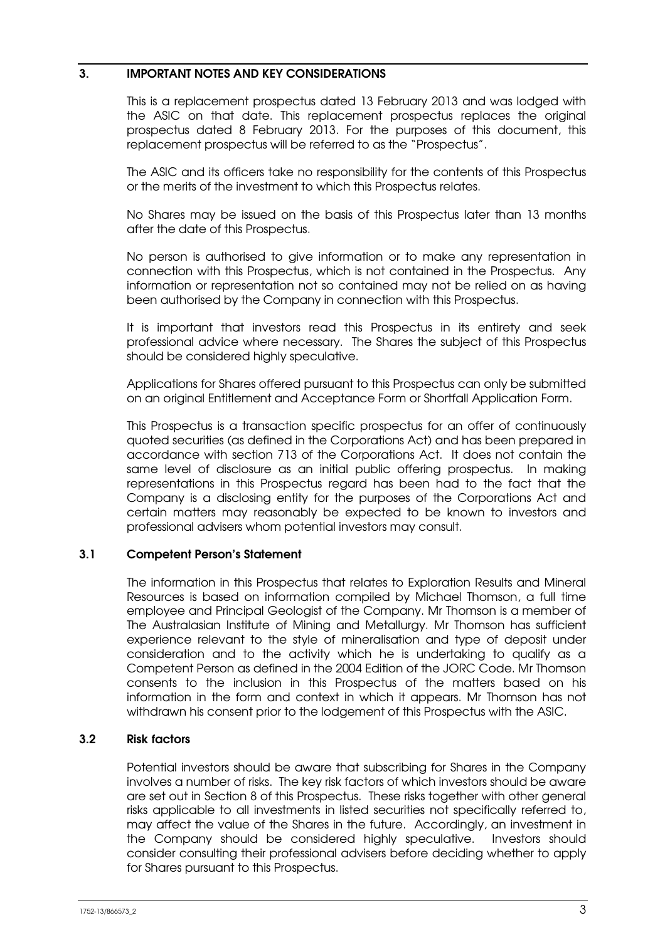# 3. IMPORTANT NOTES AND KEY CONSIDERATIONS

This is a replacement prospectus dated 13 February 2013 and was lodged with the ASIC on that date. This replacement prospectus replaces the original prospectus dated 8 February 2013. For the purposes of this document, this replacement prospectus will be referred to as the "Prospectus".

The ASIC and its officers take no responsibility for the contents of this Prospectus or the merits of the investment to which this Prospectus relates.

No Shares may be issued on the basis of this Prospectus later than 13 months after the date of this Prospectus.

No person is authorised to give information or to make any representation in connection with this Prospectus, which is not contained in the Prospectus. Any information or representation not so contained may not be relied on as having been authorised by the Company in connection with this Prospectus.

It is important that investors read this Prospectus in its entirety and seek professional advice where necessary. The Shares the subject of this Prospectus should be considered highly speculative.

Applications for Shares offered pursuant to this Prospectus can only be submitted on an original Entitlement and Acceptance Form or Shortfall Application Form.

This Prospectus is a transaction specific prospectus for an offer of continuously quoted securities (as defined in the Corporations Act) and has been prepared in accordance with section 713 of the Corporations Act. It does not contain the same level of disclosure as an initial public offering prospectus. In making representations in this Prospectus regard has been had to the fact that the Company is a disclosing entity for the purposes of the Corporations Act and certain matters may reasonably be expected to be known to investors and professional advisers whom potential investors may consult.

### 3.1 Competent Person's Statement

The information in this Prospectus that relates to Exploration Results and Mineral Resources is based on information compiled by Michael Thomson, a full time employee and Principal Geologist of the Company. Mr Thomson is a member of The Australasian Institute of Mining and Metallurgy. Mr Thomson has sufficient experience relevant to the style of mineralisation and type of deposit under consideration and to the activity which he is undertaking to qualify as a Competent Person as defined in the 2004 Edition of the JORC Code. Mr Thomson consents to the inclusion in this Prospectus of the matters based on his information in the form and context in which it appears. Mr Thomson has not withdrawn his consent prior to the lodgement of this Prospectus with the ASIC.

### 3.2 Risk factors

Potential investors should be aware that subscribing for Shares in the Company involves a number of risks. The key risk factors of which investors should be aware are set out in Section 8 of this Prospectus. These risks together with other general risks applicable to all investments in listed securities not specifically referred to, may affect the value of the Shares in the future. Accordingly, an investment in the Company should be considered highly speculative. Investors should consider consulting their professional advisers before deciding whether to apply for Shares pursuant to this Prospectus.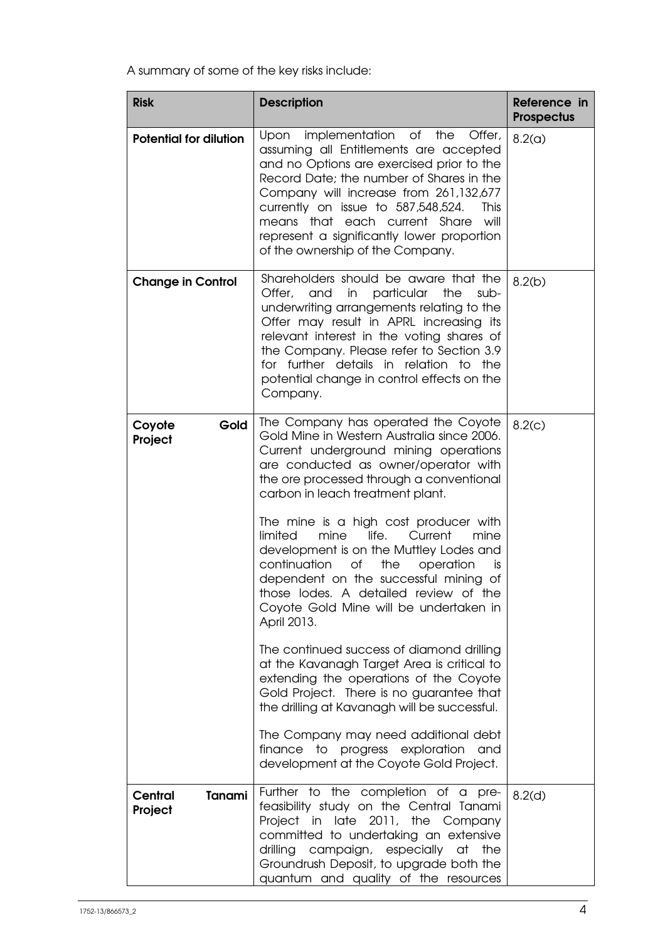A summary of some of the key risks include:

| <b>Risk</b>                   | <b>Description</b>                                                                                                                                                                                                                                                                                                                                                                                                                                                                                                                                                                                                                                                                                                                                                                                                                                        | Reference in<br><b>Prospectus</b> |
|-------------------------------|-----------------------------------------------------------------------------------------------------------------------------------------------------------------------------------------------------------------------------------------------------------------------------------------------------------------------------------------------------------------------------------------------------------------------------------------------------------------------------------------------------------------------------------------------------------------------------------------------------------------------------------------------------------------------------------------------------------------------------------------------------------------------------------------------------------------------------------------------------------|-----------------------------------|
| <b>Potential for dilution</b> | Upon<br>implementation of the<br>Offer,<br>assuming all Entitlements are accepted<br>and no Options are exercised prior to the<br>Record Date; the number of Shares in the<br>Company will increase from 261,132,677<br>currently on issue to 587,548,524.<br>This<br>means that each current Share<br>will<br>represent a significantly lower proportion<br>of the ownership of the Company.                                                                                                                                                                                                                                                                                                                                                                                                                                                             | 8.2(a)                            |
| <b>Change in Control</b>      | Shareholders should be aware that the<br>and<br>in<br>particular<br>Offer,<br>the<br>sub-<br>underwriting arrangements relating to the<br>Offer may result in APRL increasing its<br>relevant interest in the voting shares of<br>the Company. Please refer to Section 3.9<br>for further details in relation to the<br>potential change in control effects on the<br>Company.                                                                                                                                                                                                                                                                                                                                                                                                                                                                            | 8.2(b)                            |
| Gold<br>Coyote<br>Project     | The Company has operated the Coyote<br>Gold Mine in Western Australia since 2006.<br>Current underground mining operations<br>are conducted as owner/operator with<br>the ore processed through a conventional<br>carbon in leach treatment plant.<br>The mine is a high cost producer with<br>limited<br>mine<br>life.<br>Current<br>mine<br>development is on the Muttley Lodes and<br>continuation<br>operation<br>of<br>the<br>is<br>dependent on the successful mining of<br>those lodes. A detailed review of the<br>Coyote Gold Mine will be undertaken in<br>April 2013.<br>The continued success of diamond drilling<br>at the Kavanagh Target Area is critical to<br>extending the operations of the Coyote<br>Gold Project. There is no guarantee that<br>the drilling at Kavanagh will be successful.<br>The Company may need additional debt | 8.2(c)                            |
|                               | finance to progress exploration and<br>development at the Coyote Gold Project.                                                                                                                                                                                                                                                                                                                                                                                                                                                                                                                                                                                                                                                                                                                                                                            |                                   |
| Tanami<br>Central<br>Project  | Further to the completion of a pre-<br>feasibility study on the Central Tanami<br>Project in late 2011, the Company<br>committed to undertaking an extensive<br>drilling<br>campaign, especially<br>at<br>the<br>Groundrush Deposit, to upgrade both the<br>quantum and quality of the resources                                                                                                                                                                                                                                                                                                                                                                                                                                                                                                                                                          | 8.2(d)                            |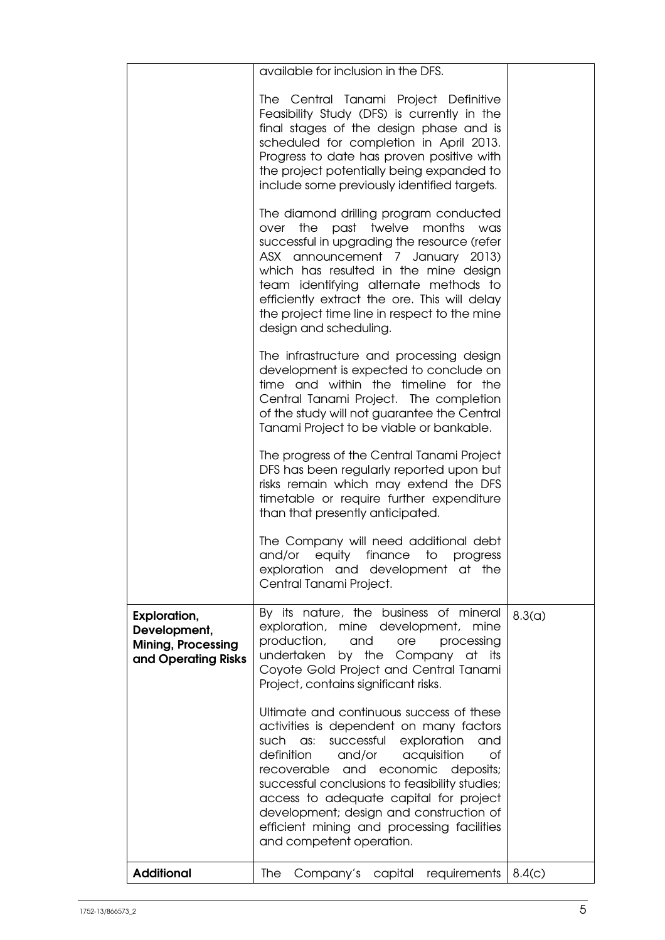|                                                                                         | available for inclusion in the DFS.                                                                                                                                                                                                                                                                                                                                                                                                     |        |
|-----------------------------------------------------------------------------------------|-----------------------------------------------------------------------------------------------------------------------------------------------------------------------------------------------------------------------------------------------------------------------------------------------------------------------------------------------------------------------------------------------------------------------------------------|--------|
|                                                                                         | The Central Tanami Project Definitive<br>Feasibility Study (DFS) is currently in the<br>final stages of the design phase and is<br>scheduled for completion in April 2013.<br>Progress to date has proven positive with<br>the project potentially being expanded to<br>include some previously identified targets.                                                                                                                     |        |
|                                                                                         | The diamond drilling program conducted<br>over the past twelve months<br>was<br>successful in upgrading the resource (refer<br>ASX announcement 7 January 2013)<br>which has resulted in the mine design<br>team identifying alternate methods to<br>efficiently extract the ore. This will delay<br>the project time line in respect to the mine<br>design and scheduling.                                                             |        |
|                                                                                         | The infrastructure and processing design<br>development is expected to conclude on<br>time and within the timeline for the<br>Central Tanami Project. The completion<br>of the study will not guarantee the Central<br>Tanami Project to be viable or bankable.                                                                                                                                                                         |        |
|                                                                                         | The progress of the Central Tanami Project<br>DFS has been regularly reported upon but<br>risks remain which may extend the DFS<br>timetable or require further expenditure<br>than that presently anticipated.                                                                                                                                                                                                                         |        |
|                                                                                         | The Company will need additional debt<br>and/or equity finance to progress<br>exploration and development at the<br>Central Tanami Project.                                                                                                                                                                                                                                                                                             |        |
| <b>Exploration,</b><br>Development,<br><b>Mining, Processing</b><br>and Operating Risks | By its nature, the business of mineral<br>exploration, mine development, mine<br>production,<br>and<br>ore<br>processing<br>undertaken<br>by the Company<br>its<br>at<br>Coyote Gold Project and Central Tanami<br>Project, contains significant risks.                                                                                                                                                                                 | 8.3(a) |
|                                                                                         | Ultimate and continuous success of these<br>activities is dependent on many factors<br>such<br>successful exploration<br>as:<br>and<br>definition<br>and/or<br>acquisition<br>Оf<br>recoverable and economic deposits;<br>successful conclusions to feasibility studies;<br>access to adequate capital for project<br>development; design and construction of<br>efficient mining and processing facilities<br>and competent operation. |        |
| <b>Additional</b>                                                                       | The<br>requirements<br>Company's capital                                                                                                                                                                                                                                                                                                                                                                                                | 8.4(c) |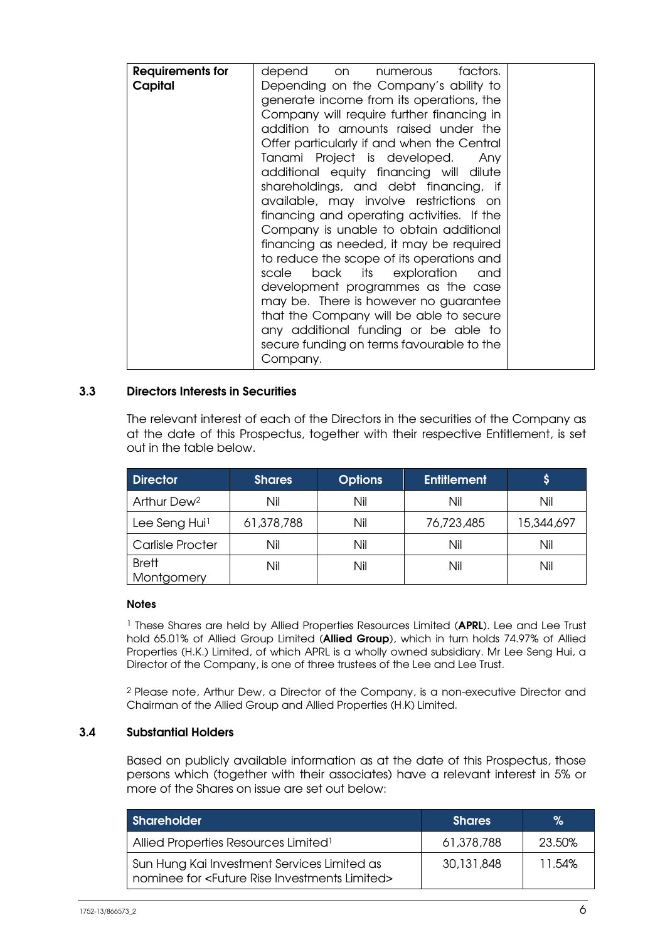| <b>Requirements for</b><br>Capital | depend<br>factors.<br>on numerous<br>Depending on the Company's ability to<br>generate income from its operations, the<br>Company will require further financing in<br>addition to amounts raised under the<br>Offer particularly if and when the Central<br>Tanami Project is developed.<br>Anv<br>additional equity financing will dilute<br>shareholdings, and debt financing, if<br>available, may involve restrictions on<br>financing and operating activities. If the<br>Company is unable to obtain additional<br>financing as needed, it may be required<br>to reduce the scope of its operations and<br>scale<br>back its exploration<br>and<br>development programmes as the case<br>may be. There is however no guarantee<br>that the Company will be able to secure<br>any additional funding or be able to<br>secure funding on terms favourable to the<br>Company. |  |
|------------------------------------|-----------------------------------------------------------------------------------------------------------------------------------------------------------------------------------------------------------------------------------------------------------------------------------------------------------------------------------------------------------------------------------------------------------------------------------------------------------------------------------------------------------------------------------------------------------------------------------------------------------------------------------------------------------------------------------------------------------------------------------------------------------------------------------------------------------------------------------------------------------------------------------|--|
|------------------------------------|-----------------------------------------------------------------------------------------------------------------------------------------------------------------------------------------------------------------------------------------------------------------------------------------------------------------------------------------------------------------------------------------------------------------------------------------------------------------------------------------------------------------------------------------------------------------------------------------------------------------------------------------------------------------------------------------------------------------------------------------------------------------------------------------------------------------------------------------------------------------------------------|--|

### 3.3 Directors Interests in Securities

The relevant interest of each of the Directors in the securities of the Company as at the date of this Prospectus, together with their respective Entitlement, is set out in the table below.

| <b>Director</b>            | <b>Shares</b> | <b>Options</b> | <b>Entitlement</b>       | \$  |
|----------------------------|---------------|----------------|--------------------------|-----|
| Arthur Dew <sup>2</sup>    | Nil           | Nil            | Nil                      | Nil |
| Lee Seng Hui <sup>1</sup>  | 61,378,788    | Nil            | 76,723,485<br>15,344,697 |     |
| <b>Carlisle Procter</b>    | Nil           | Nil            | Nil                      | Nil |
| <b>Brett</b><br>Montgomery | Nil           | Nil            | Nil                      | Nil |

#### **Notes**

<sup>1</sup> These Shares are held by Allied Properties Resources Limited (APRL). Lee and Lee Trust hold 65.01% of Allied Group Limited (Allied Group), which in turn holds 74.97% of Allied Properties (H.K.) Limited, of which APRL is a wholly owned subsidiary. Mr Lee Seng Hui, a Director of the Company, is one of three trustees of the Lee and Lee Trust.

<sup>2</sup>Please note, Arthur Dew, a Director of the Company, is a non-executive Director and Chairman of the Allied Group and Allied Properties (H.K) Limited.

### 3.4 Substantial Holders

Based on publicly available information as at the date of this Prospectus, those persons which (together with their associates) have a relevant interest in 5% or more of the Shares on issue are set out below:

| Shareholder                                                                                                    | <b>Shares</b> | ℀      |
|----------------------------------------------------------------------------------------------------------------|---------------|--------|
| Allied Properties Resources Limited <sup>1</sup>                                                               | 61,378,788    | 23.50% |
| Sun Hung Kai Investment Services Limited as<br>nominee for <future investments="" limited="" rise=""></future> | 30,131,848    | 11.54% |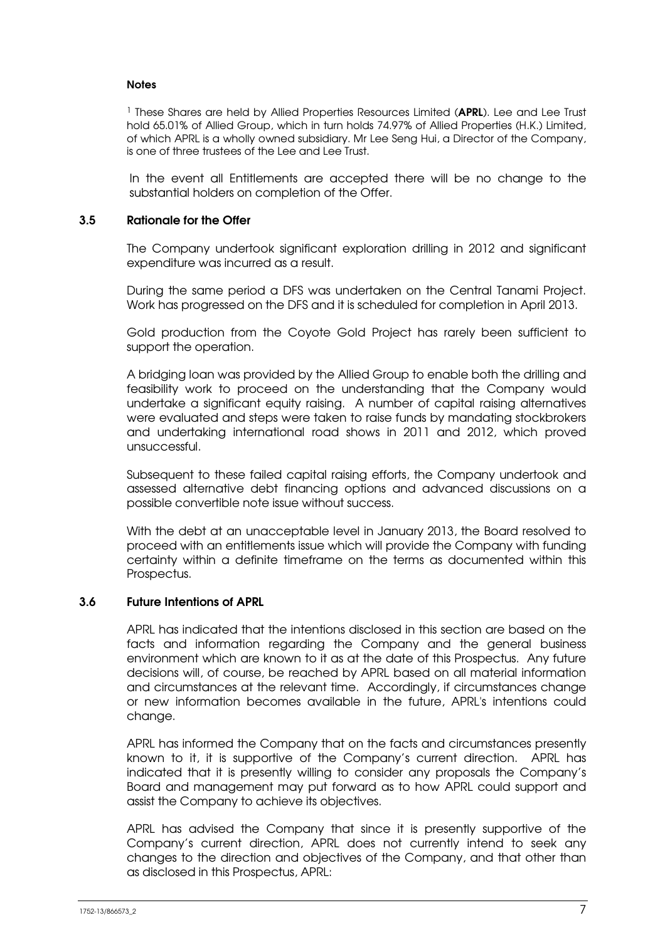#### **Notes**

<sup>1</sup> These Shares are held by Allied Properties Resources Limited (APRL). Lee and Lee Trust hold 65.01% of Allied Group, which in turn holds 74.97% of Allied Properties (H.K.) Limited, of which APRL is a wholly owned subsidiary. Mr Lee Seng Hui, a Director of the Company, is one of three trustees of the Lee and Lee Trust.

In the event all Entitlements are accepted there will be no change to the substantial holders on completion of the Offer.

#### 3.5 Rationale for the Offer

The Company undertook significant exploration drilling in 2012 and significant expenditure was incurred as a result.

During the same period a DFS was undertaken on the Central Tanami Project. Work has progressed on the DFS and it is scheduled for completion in April 2013.

Gold production from the Coyote Gold Project has rarely been sufficient to support the operation.

A bridging loan was provided by the Allied Group to enable both the drilling and feasibility work to proceed on the understanding that the Company would undertake a significant equity raising. A number of capital raising alternatives were evaluated and steps were taken to raise funds by mandating stockbrokers and undertaking international road shows in 2011 and 2012, which proved unsuccessful.

Subsequent to these failed capital raising efforts, the Company undertook and assessed alternative debt financing options and advanced discussions on a possible convertible note issue without success.

With the debt at an unacceptable level in January 2013, the Board resolved to proceed with an entitlements issue which will provide the Company with funding certainty within a definite timeframe on the terms as documented within this Prospectus.

#### 3.6 Future Intentions of APRL

APRL has indicated that the intentions disclosed in this section are based on the facts and information regarding the Company and the general business environment which are known to it as at the date of this Prospectus. Any future decisions will, of course, be reached by APRL based on all material information and circumstances at the relevant time. Accordingly, if circumstances change or new information becomes available in the future, APRL's intentions could change.

APRL has informed the Company that on the facts and circumstances presently known to it, it is supportive of the Company's current direction. APRL has indicated that it is presently willing to consider any proposals the Company's Board and management may put forward as to how APRL could support and assist the Company to achieve its objectives.

APRL has advised the Company that since it is presently supportive of the Company's current direction, APRL does not currently intend to seek any changes to the direction and objectives of the Company, and that other than as disclosed in this Prospectus, APRL: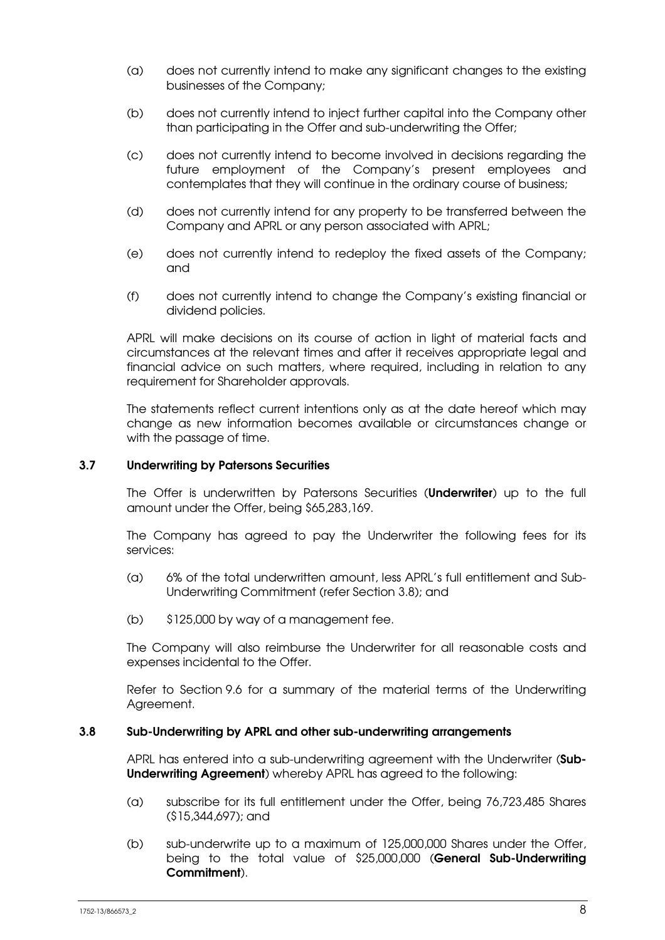- (a) does not currently intend to make any significant changes to the existing businesses of the Company;
- (b) does not currently intend to inject further capital into the Company other than participating in the Offer and sub-underwriting the Offer;
- (c) does not currently intend to become involved in decisions regarding the future employment of the Company's present employees and contemplates that they will continue in the ordinary course of business;
- (d) does not currently intend for any property to be transferred between the Company and APRL or any person associated with APRL;
- (e) does not currently intend to redeploy the fixed assets of the Company; and
- (f) does not currently intend to change the Company's existing financial or dividend policies.

APRL will make decisions on its course of action in light of material facts and circumstances at the relevant times and after it receives appropriate legal and financial advice on such matters, where required, including in relation to any requirement for Shareholder approvals.

The statements reflect current intentions only as at the date hereof which may change as new information becomes available or circumstances change or with the passage of time.

### 3.7 Underwriting by Patersons Securities

The Offer is underwritten by Patersons Securities (Underwriter) up to the full amount under the Offer, being \$65,283,169.

The Company has agreed to pay the Underwriter the following fees for its services:

- (a) 6% of the total underwritten amount, less APRL's full entitlement and Sub-Underwriting Commitment (refer Section 3.8); and
- (b) \$125,000 by way of a management fee.

The Company will also reimburse the Underwriter for all reasonable costs and expenses incidental to the Offer.

Refer to Section 9.6 for a summary of the material terms of the Underwriting Agreement.

#### 3.8 Sub-Underwriting by APRL and other sub-underwriting arrangements

APRL has entered into a sub-underwriting agreement with the Underwriter (Sub-Underwriting Agreement) whereby APRL has agreed to the following:

- (a) subscribe for its full entitlement under the Offer, being 76,723,485 Shares (\$15,344,697); and
- (b) sub-underwrite up to a maximum of 125,000,000 Shares under the Offer, being to the total value of \$25,000,000 (General Sub-Underwriting Commitment).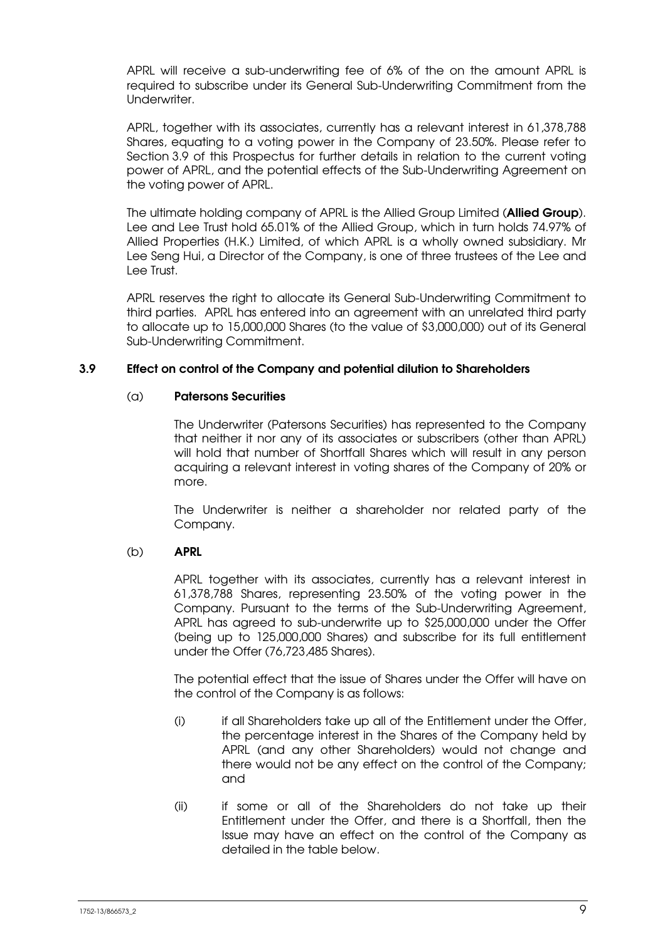APRL will receive a sub-underwriting fee of 6% of the on the amount APRL is required to subscribe under its General Sub-Underwriting Commitment from the Underwriter.

APRL, together with its associates, currently has a relevant interest in 61,378,788 Shares, equating to a voting power in the Company of 23.50%. Please refer to Section 3.9 of this Prospectus for further details in relation to the current voting power of APRL, and the potential effects of the Sub-Underwriting Agreement on the voting power of APRL.

The ultimate holding company of APRL is the Allied Group Limited (Allied Group). Lee and Lee Trust hold 65.01% of the Allied Group, which in turn holds 74.97% of Allied Properties (H.K.) Limited, of which APRL is a wholly owned subsidiary. Mr Lee Seng Hui, a Director of the Company, is one of three trustees of the Lee and Lee Trust.

APRL reserves the right to allocate its General Sub-Underwriting Commitment to third parties. APRL has entered into an agreement with an unrelated third party to allocate up to 15,000,000 Shares (to the value of \$3,000,000) out of its General Sub-Underwriting Commitment.

### 3.9 Effect on control of the Company and potential dilution to Shareholders

### (a) Patersons Securities

The Underwriter (Patersons Securities) has represented to the Company that neither it nor any of its associates or subscribers (other than APRL) will hold that number of Shortfall Shares which will result in any person acquiring a relevant interest in voting shares of the Company of 20% or more.

The Underwriter is neither a shareholder nor related party of the Company.

### (b) APRL

APRL together with its associates, currently has a relevant interest in 61,378,788 Shares, representing 23.50% of the voting power in the Company. Pursuant to the terms of the Sub-Underwriting Agreement, APRL has agreed to sub-underwrite up to \$25,000,000 under the Offer (being up to 125,000,000 Shares) and subscribe for its full entitlement under the Offer (76,723,485 Shares).

The potential effect that the issue of Shares under the Offer will have on the control of the Company is as follows:

- (i) if all Shareholders take up all of the Entitlement under the Offer, the percentage interest in the Shares of the Company held by APRL (and any other Shareholders) would not change and there would not be any effect on the control of the Company; and
- (ii) if some or all of the Shareholders do not take up their Entitlement under the Offer, and there is a Shortfall, then the Issue may have an effect on the control of the Company as detailed in the table below.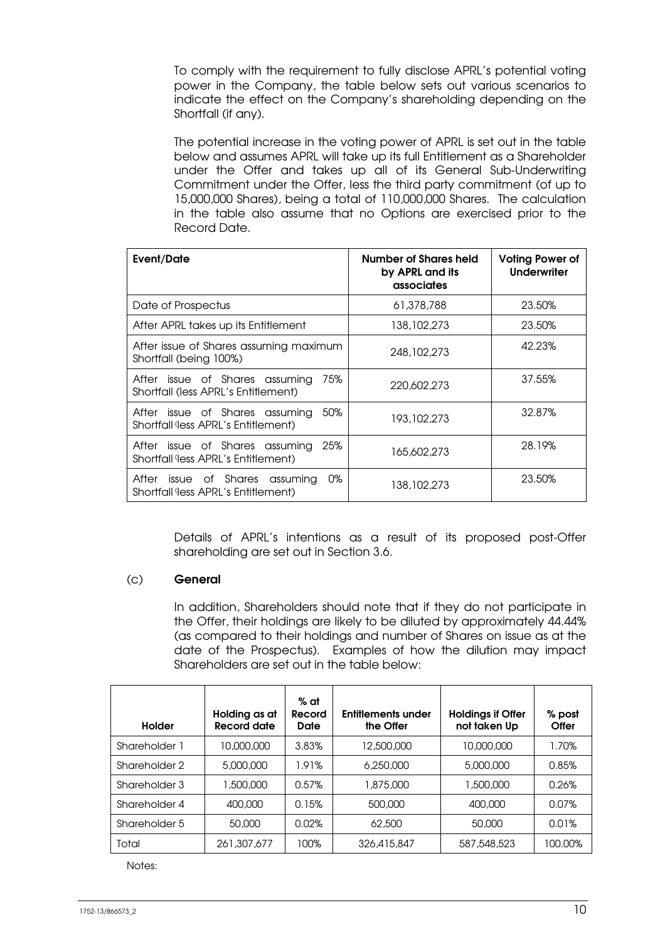To comply with the requirement to fully disclose APRL's potential voting power in the Company, the table below sets out various scenarios to indicate the effect on the Company's shareholding depending on the Shortfall (if any).

The potential increase in the voting power of APRL is set out in the table below and assumes APRL will take up its full Entitlement as a Shareholder under the Offer and takes up all of its General Sub-Underwriting Commitment under the Offer, less the third party commitment (of up to 15,000,000 Shares), being a total of 110,000,000 Shares. The calculation in the table also assume that no Options are exercised prior to the Record Date.

| <b>Event/Date</b>                                                                        | Number of Shares held<br>by APRL and its<br>associates | <b>Voting Power of</b><br><b>Underwriter</b> |
|------------------------------------------------------------------------------------------|--------------------------------------------------------|----------------------------------------------|
| Date of Prospectus                                                                       | 61,378,788                                             | 23.50%                                       |
| After APRL takes up its Entitlement                                                      | 138,102,273                                            | 23.50%                                       |
| After issue of Shares assuming maximum<br>Shortfall (being 100%)                         | 248, 102, 273                                          | 42.23%                                       |
| 75%<br>After issue of Shares assuming<br>Shortfall (less APRL's Entitlement)             | 220,602,273                                            | 37.55%                                       |
| 50%<br>After issue of Shares assuming<br>Shortfall <i>(less APRL's Entitlement)</i>      | 193,102,273                                            | 32.87%                                       |
| 25%<br>After issue of Shares assuming<br>Shortfall (less APRL's Entitlement)             | 165,602,273                                            | 28.19%                                       |
| 0%<br>assuming<br>After<br>issue of Shares<br>Shortfall <i>(less APRL's Entitlement)</i> | 138,102,273                                            | 23.50%                                       |

Details of APRL's intentions as a result of its proposed post-Offer shareholding are set out in Section 3.6.

### (c) General

In addition, Shareholders should note that if they do not participate in the Offer, their holdings are likely to be diluted by approximately 44.44% (as compared to their holdings and number of Shares on issue as at the date of the Prospectus). Examples of how the dilution may impact Shareholders are set out in the table below:

| Holder        | Holding as at<br>Record date | % at<br>Record<br>Date | <b>Entitlements under</b><br>the Offer | <b>Holdings if Offer</b><br>not taken Up | % post<br>Offer |
|---------------|------------------------------|------------------------|----------------------------------------|------------------------------------------|-----------------|
| Shareholder 1 | 10,000,000                   | 3.83%                  | 12,500,000                             | 10,000,000                               | 1.70%           |
| Shareholder 2 | 5,000,000                    | 1.91%                  | 6,250,000                              | 5,000,000                                | 0.85%           |
| Shareholder 3 | 1.500.000                    | 0.57%                  | 1,875,000                              | 1,500,000                                | 0.26%           |
| Shareholder 4 | 400,000                      | 0.15%                  | 500,000                                | 400,000                                  | 0.07%           |
| Shareholder 5 | 50,000                       | 0.02%                  | 62,500                                 | 50,000                                   | 0.01%           |
| Total         | 261,307,677                  | 100%                   | 326,415,847                            | 587,548,523                              | 100.00%         |

Notes: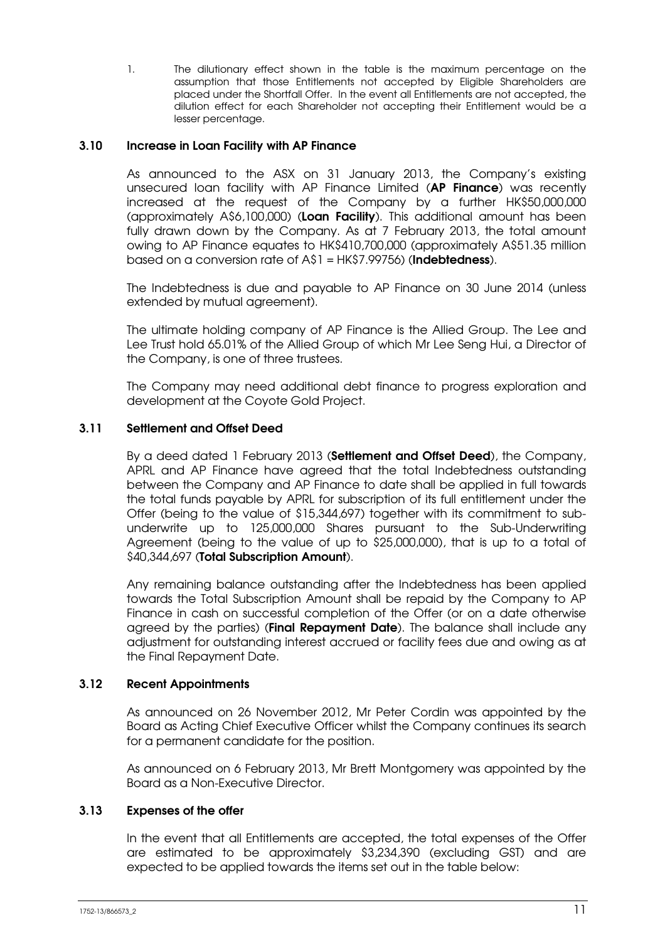1. The dilutionary effect shown in the table is the maximum percentage on the assumption that those Entitlements not accepted by Eligible Shareholders are placed under the Shortfall Offer. In the event all Entitlements are not accepted, the dilution effect for each Shareholder not accepting their Entitlement would be a lesser percentage.

### 3.10 Increase in Loan Facility with AP Finance

As announced to the ASX on 31 January 2013, the Company's existing unsecured loan facility with AP Finance Limited (AP Finance) was recently increased at the request of the Company by a further HK\$50,000,000 (approximately A\$6,100,000) (Loan Facility). This additional amount has been fully drawn down by the Company. As at 7 February 2013, the total amount owing to AP Finance equates to HK\$410,700,000 (approximately A\$51.35 million based on a conversion rate of A\$1 = HK\$7.99756) (**Indebtedness**).

The Indebtedness is due and payable to AP Finance on 30 June 2014 (unless extended by mutual agreement).

The ultimate holding company of AP Finance is the Allied Group. The Lee and Lee Trust hold 65.01% of the Allied Group of which Mr Lee Seng Hui, a Director of the Company, is one of three trustees.

The Company may need additional debt finance to progress exploration and development at the Coyote Gold Project.

### 3.11 Settlement and Offset Deed

By a deed dated 1 February 2013 (Settlement and Offset Deed), the Company, APRL and AP Finance have agreed that the total Indebtedness outstanding between the Company and AP Finance to date shall be applied in full towards the total funds payable by APRL for subscription of its full entitlement under the Offer (being to the value of \$15,344,697) together with its commitment to subunderwrite up to 125,000,000 Shares pursuant to the Sub-Underwriting Agreement (being to the value of up to \$25,000,000), that is up to a total of \$40,344,697 (Total Subscription Amount).

Any remaining balance outstanding after the Indebtedness has been applied towards the Total Subscription Amount shall be repaid by the Company to AP Finance in cash on successful completion of the Offer (or on a date otherwise agreed by the parties) (Final Repayment Date). The balance shall include any adjustment for outstanding interest accrued or facility fees due and owing as at the Final Repayment Date.

### 3.12 Recent Appointments

As announced on 26 November 2012, Mr Peter Cordin was appointed by the Board as Acting Chief Executive Officer whilst the Company continues its search for a permanent candidate for the position.

As announced on 6 February 2013, Mr Brett Montgomery was appointed by the Board as a Non-Executive Director.

### 3.13 Expenses of the offer

In the event that all Entitlements are accepted, the total expenses of the Offer are estimated to be approximately \$3,234,390 (excluding GST) and are expected to be applied towards the items set out in the table below: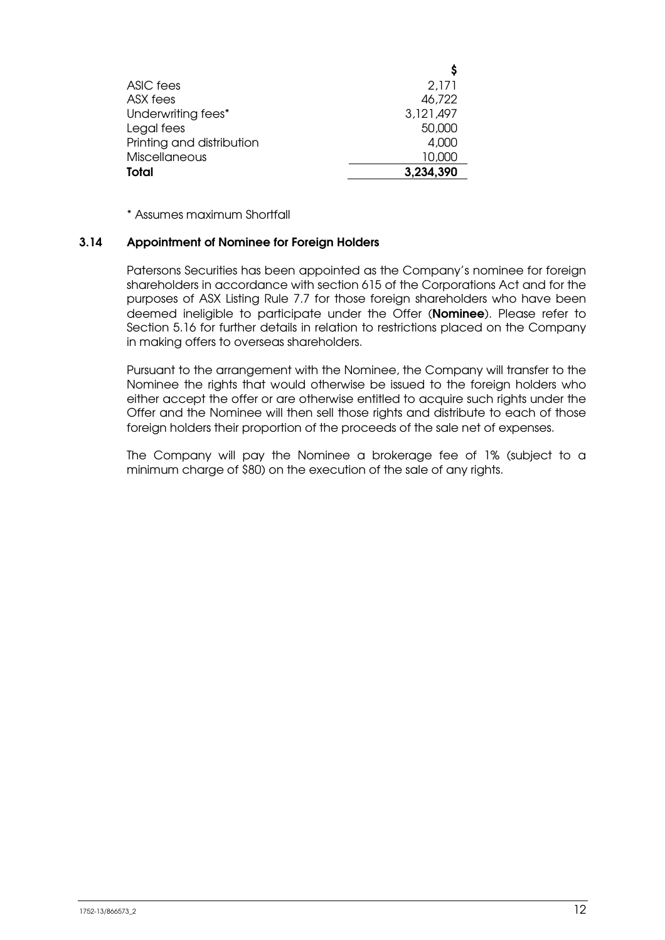| ASIC fees                 | 2,171     |
|---------------------------|-----------|
| ASX fees                  | 46,722    |
| Underwriting fees*        | 3,121,497 |
| Legal fees                | 50,000    |
| Printing and distribution | 4,000     |
| <b>Miscellaneous</b>      | 10,000    |
| Total                     | 3,234,390 |
|                           |           |

\* Assumes maximum Shortfall

### 3.14 Appointment of Nominee for Foreign Holders

Patersons Securities has been appointed as the Company's nominee for foreign shareholders in accordance with section 615 of the Corporations Act and for the purposes of ASX Listing Rule 7.7 for those foreign shareholders who have been deemed ineligible to participate under the Offer (Nominee). Please refer to Section 5.16 for further details in relation to restrictions placed on the Company in making offers to overseas shareholders.

Pursuant to the arrangement with the Nominee, the Company will transfer to the Nominee the rights that would otherwise be issued to the foreign holders who either accept the offer or are otherwise entitled to acquire such rights under the Offer and the Nominee will then sell those rights and distribute to each of those foreign holders their proportion of the proceeds of the sale net of expenses.

The Company will pay the Nominee a brokerage fee of 1% (subject to a minimum charge of \$80) on the execution of the sale of any rights.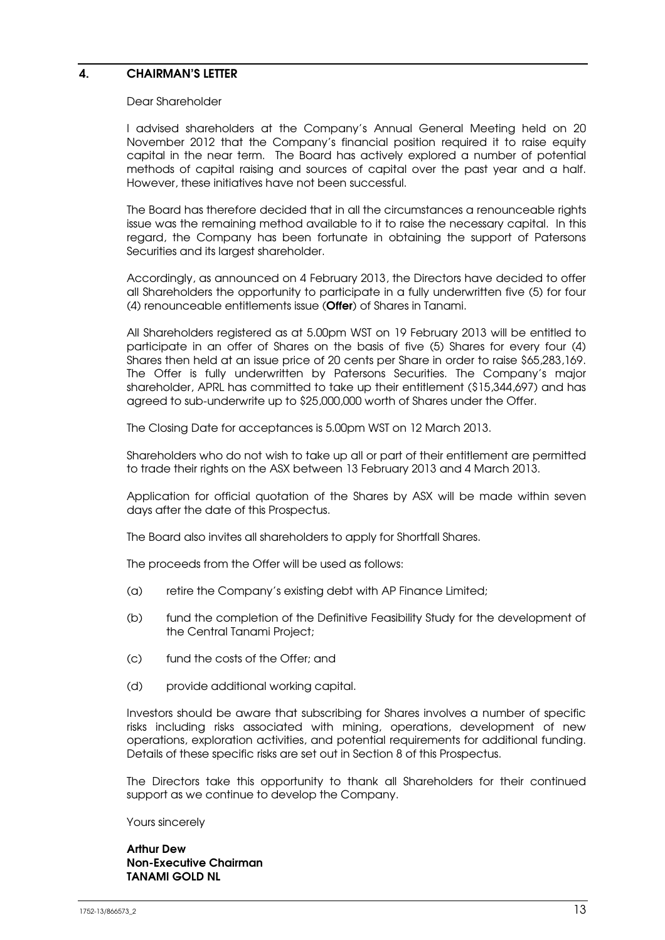### 4. CHAIRMAN'S LETTER

#### Dear Shareholder

I advised shareholders at the Company's Annual General Meeting held on 20 November 2012 that the Company's financial position required it to raise equity capital in the near term. The Board has actively explored a number of potential methods of capital raising and sources of capital over the past year and a half. However, these initiatives have not been successful.

The Board has therefore decided that in all the circumstances a renounceable rights issue was the remaining method available to it to raise the necessary capital. In this regard, the Company has been fortunate in obtaining the support of Patersons Securities and its largest shareholder.

Accordingly, as announced on 4 February 2013, the Directors have decided to offer all Shareholders the opportunity to participate in a fully underwritten five (5) for four (4) renounceable entitlements issue (Offer) of Shares in Tanami.

All Shareholders registered as at 5.00pm WST on 19 February 2013 will be entitled to participate in an offer of Shares on the basis of five (5) Shares for every four (4) Shares then held at an issue price of 20 cents per Share in order to raise \$65,283,169. The Offer is fully underwritten by Patersons Securities. The Company's major shareholder, APRL has committed to take up their entitlement (\$15,344,697) and has agreed to sub-underwrite up to \$25,000,000 worth of Shares under the Offer.

The Closing Date for acceptances is 5.00pm WST on 12 March 2013.

Shareholders who do not wish to take up all or part of their entitlement are permitted to trade their rights on the ASX between 13 February 2013 and 4 March 2013.

Application for official quotation of the Shares by ASX will be made within seven days after the date of this Prospectus.

The Board also invites all shareholders to apply for Shortfall Shares.

The proceeds from the Offer will be used as follows:

- (a) retire the Company's existing debt with AP Finance Limited;
- (b) fund the completion of the Definitive Feasibility Study for the development of the Central Tanami Project;
- (c) fund the costs of the Offer; and
- (d) provide additional working capital.

Investors should be aware that subscribing for Shares involves a number of specific risks including risks associated with mining, operations, development of new operations, exploration activities, and potential requirements for additional funding. Details of these specific risks are set out in Section 8 of this Prospectus.

The Directors take this opportunity to thank all Shareholders for their continued support as we continue to develop the Company.

Yours sincerely

Arthur Dew Non-Executive Chairman TANAMI GOLD NL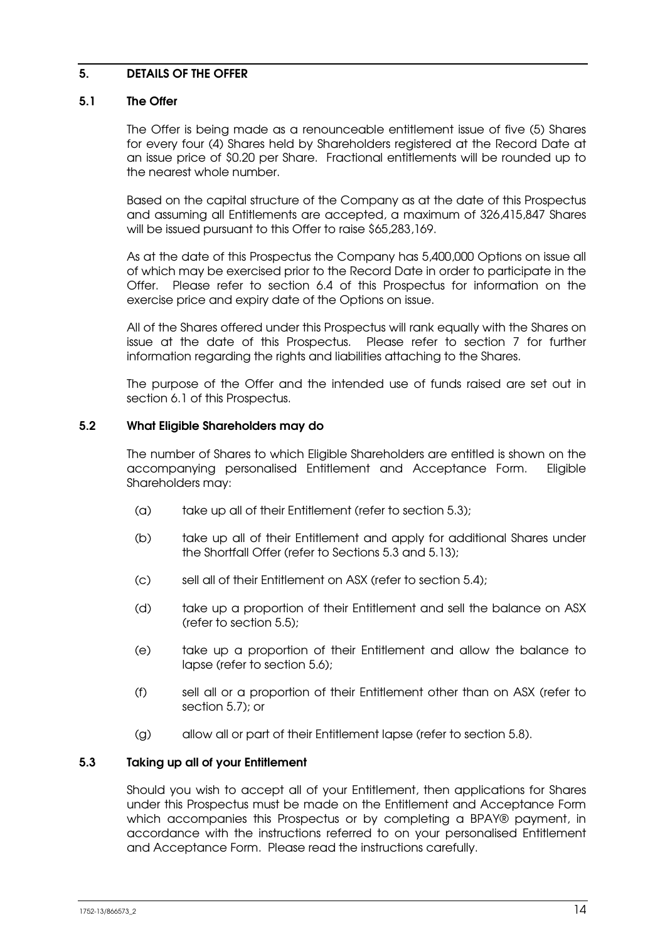### 5. DETAILS OF THE OFFER

### 5.1 The Offer

The Offer is being made as a renounceable entitlement issue of five (5) Shares for every four (4) Shares held by Shareholders registered at the Record Date at an issue price of \$0.20 per Share. Fractional entitlements will be rounded up to the nearest whole number.

Based on the capital structure of the Company as at the date of this Prospectus and assuming all Entitlements are accepted, a maximum of 326,415,847 Shares will be issued pursuant to this Offer to raise \$65,283,169.

As at the date of this Prospectus the Company has 5,400,000 Options on issue all of which may be exercised prior to the Record Date in order to participate in the Offer. Please refer to section 6.4 of this Prospectus for information on the exercise price and expiry date of the Options on issue.

All of the Shares offered under this Prospectus will rank equally with the Shares on issue at the date of this Prospectus. Please refer to section 7 for further information regarding the rights and liabilities attaching to the Shares.

The purpose of the Offer and the intended use of funds raised are set out in section 6.1 of this Prospectus.

### 5.2 What Eligible Shareholders may do

The number of Shares to which Eligible Shareholders are entitled is shown on the accompanying personalised Entitlement and Acceptance Form. Eligible Shareholders may:

- (a) take up all of their Entitlement (refer to section 5.3);
- (b) take up all of their Entitlement and apply for additional Shares under the Shortfall Offer (refer to Sections 5.3 and 5.13);
- (c) sell all of their Entitlement on ASX (refer to section 5.4);
- (d) take up a proportion of their Entitlement and sell the balance on ASX (refer to section 5.5);
- (e) take up a proportion of their Entitlement and allow the balance to lapse (refer to section 5.6);
- (f) sell all or a proportion of their Entitlement other than on ASX (refer to section 5.7); or
- (g) allow all or part of their Entitlement lapse (refer to section 5.8).

### 5.3 Taking up all of your Entitlement

Should you wish to accept all of your Entitlement, then applications for Shares under this Prospectus must be made on the Entitlement and Acceptance Form which accompanies this Prospectus or by completing a BPAY® payment, in accordance with the instructions referred to on your personalised Entitlement and Acceptance Form. Please read the instructions carefully.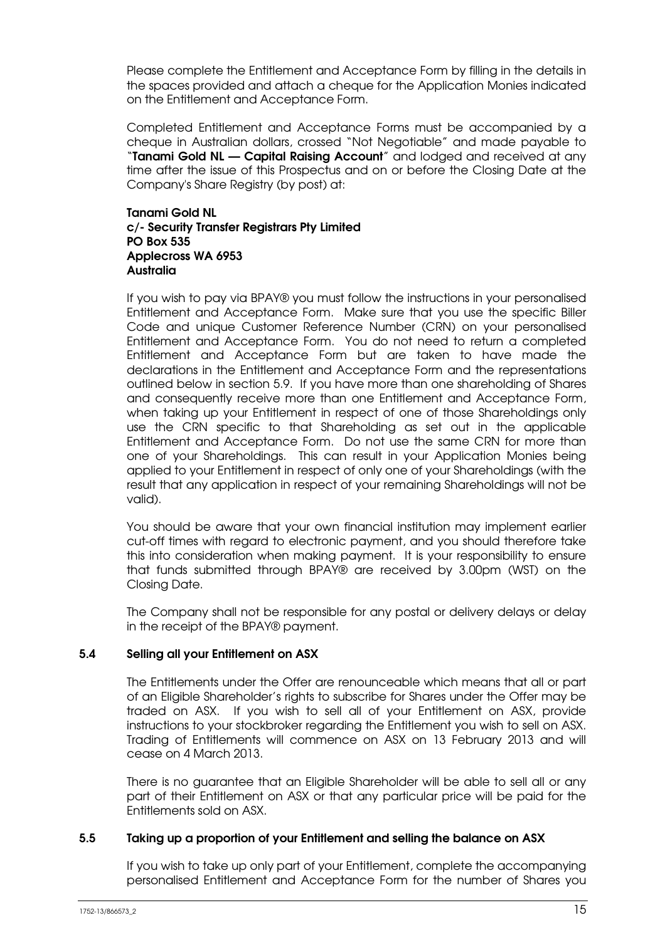Please complete the Entitlement and Acceptance Form by filling in the details in the spaces provided and attach a cheque for the Application Monies indicated on the Entitlement and Acceptance Form.

Completed Entitlement and Acceptance Forms must be accompanied by a cheque in Australian dollars, crossed "Not Negotiable" and made payable to "Tanami Gold NL - Capital Raising Account" and lodged and received at any time after the issue of this Prospectus and on or before the Closing Date at the Company's Share Registry (by post) at:

### Tanami Gold NL c/- Security Transfer Registrars Pty Limited PO Box 535 Applecross WA 6953 Australia

If you wish to pay via BPAY® you must follow the instructions in your personalised Entitlement and Acceptance Form. Make sure that you use the specific Biller Code and unique Customer Reference Number (CRN) on your personalised Entitlement and Acceptance Form. You do not need to return a completed Entitlement and Acceptance Form but are taken to have made the declarations in the Entitlement and Acceptance Form and the representations outlined below in section 5.9. If you have more than one shareholding of Shares and consequently receive more than one Entitlement and Acceptance Form, when taking up your Entitlement in respect of one of those Shareholdings only use the CRN specific to that Shareholding as set out in the applicable Entitlement and Acceptance Form. Do not use the same CRN for more than one of your Shareholdings. This can result in your Application Monies being applied to your Entitlement in respect of only one of your Shareholdings (with the result that any application in respect of your remaining Shareholdings will not be valid).

You should be aware that your own financial institution may implement earlier cut-off times with regard to electronic payment, and you should therefore take this into consideration when making payment. It is your responsibility to ensure that funds submitted through BPAY® are received by 3.00pm (WST) on the Closing Date.

The Company shall not be responsible for any postal or delivery delays or delay in the receipt of the BPAY® payment.

# 5.4 Selling all your Entitlement on ASX

The Entitlements under the Offer are renounceable which means that all or part of an Eligible Shareholder's rights to subscribe for Shares under the Offer may be traded on ASX. If you wish to sell all of your Entitlement on ASX, provide instructions to your stockbroker regarding the Entitlement you wish to sell on ASX. Trading of Entitlements will commence on ASX on 13 February 2013 and will cease on 4 March 2013.

There is no guarantee that an Eligible Shareholder will be able to sell all or any part of their Entitlement on ASX or that any particular price will be paid for the Entitlements sold on ASX.

# 5.5 Taking up a proportion of your Entitlement and selling the balance on ASX

If you wish to take up only part of your Entitlement, complete the accompanying personalised Entitlement and Acceptance Form for the number of Shares you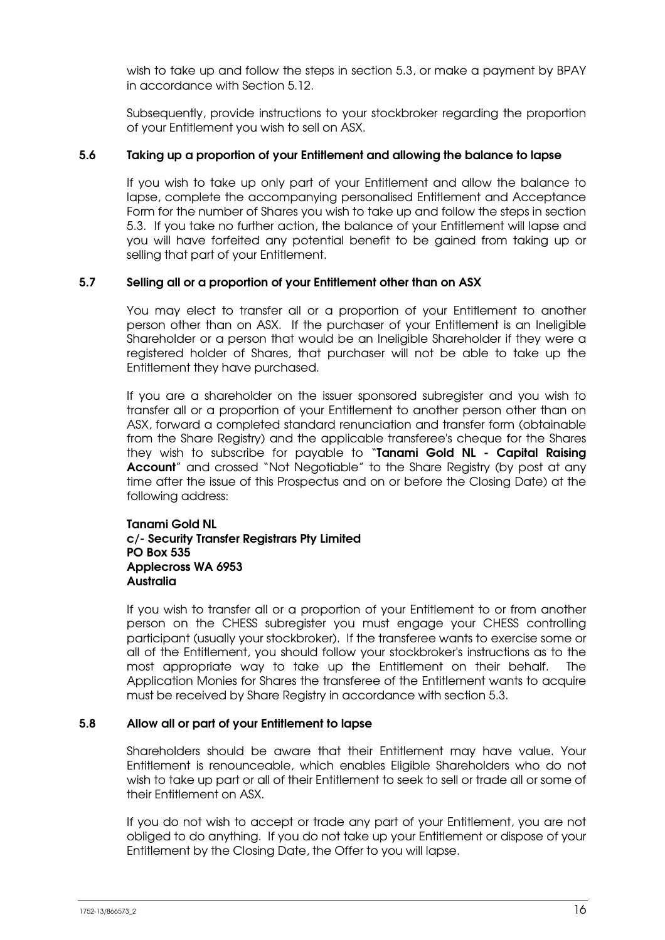wish to take up and follow the steps in section 5.3, or make a payment by BPAY in accordance with Section 5.12.

Subsequently, provide instructions to your stockbroker regarding the proportion of your Entitlement you wish to sell on ASX.

### 5.6 Taking up a proportion of your Entitlement and allowing the balance to lapse

If you wish to take up only part of your Entitlement and allow the balance to lapse, complete the accompanying personalised Entitlement and Acceptance Form for the number of Shares you wish to take up and follow the steps in section 5.3. If you take no further action, the balance of your Entitlement will lapse and you will have forfeited any potential benefit to be gained from taking up or selling that part of your Entitlement.

# 5.7 Selling all or a proportion of your Entitlement other than on ASX

You may elect to transfer all or a proportion of your Entitlement to another person other than on ASX. If the purchaser of your Entitlement is an Ineligible Shareholder or a person that would be an Ineligible Shareholder if they were a registered holder of Shares, that purchaser will not be able to take up the Entitlement they have purchased.

If you are a shareholder on the issuer sponsored subregister and you wish to transfer all or a proportion of your Entitlement to another person other than on ASX, forward a completed standard renunciation and transfer form (obtainable from the Share Registry) and the applicable transferee's cheque for the Shares they wish to subscribe for payable to "Tanami Gold NL - Capital Raising Account" and crossed "Not Negotiable" to the Share Registry (by post at any time after the issue of this Prospectus and on or before the Closing Date) at the following address:

### Tanami Gold NL c/- Security Transfer Registrars Pty Limited PO Box 535 Applecross WA 6953 Australia

If you wish to transfer all or a proportion of your Entitlement to or from another person on the CHESS subregister you must engage your CHESS controlling participant (usually your stockbroker). If the transferee wants to exercise some or all of the Entitlement, you should follow your stockbroker's instructions as to the most appropriate way to take up the Entitlement on their behalf. The Application Monies for Shares the transferee of the Entitlement wants to acquire must be received by Share Registry in accordance with section 5.3.

### 5.8 Allow all or part of your Entitlement to lapse

Shareholders should be aware that their Entitlement may have value. Your Entitlement is renounceable, which enables Eligible Shareholders who do not wish to take up part or all of their Entitlement to seek to sell or trade all or some of their Entitlement on ASX.

If you do not wish to accept or trade any part of your Entitlement, you are not obliged to do anything. If you do not take up your Entitlement or dispose of your Entitlement by the Closing Date, the Offer to you will lapse.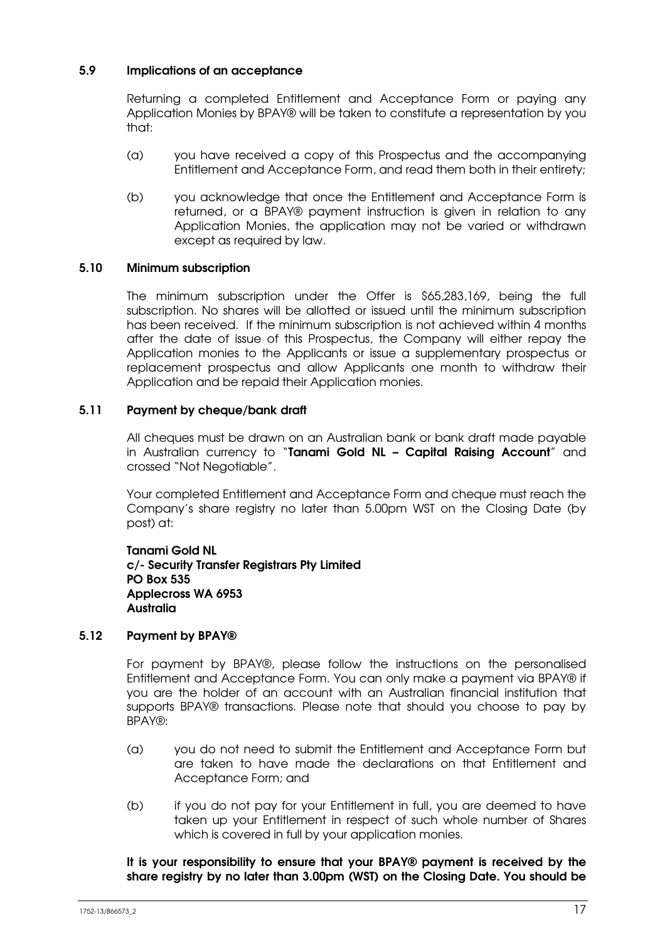# 5.9 Implications of an acceptance

Returning a completed Entitlement and Acceptance Form or paying any Application Monies by BPAY® will be taken to constitute a representation by you that:

- (a) you have received a copy of this Prospectus and the accompanying Entitlement and Acceptance Form, and read them both in their entirety;
- (b) you acknowledge that once the Entitlement and Acceptance Form is returned, or a BPAY® payment instruction is given in relation to any Application Monies, the application may not be varied or withdrawn except as required by law.

# 5.10 Minimum subscription

The minimum subscription under the Offer is \$65,283,169, being the full subscription. No shares will be allotted or issued until the minimum subscription has been received. If the minimum subscription is not achieved within 4 months after the date of issue of this Prospectus, the Company will either repay the Application monies to the Applicants or issue a supplementary prospectus or replacement prospectus and allow Applicants one month to withdraw their Application and be repaid their Application monies.

# 5.11 Payment by cheque/bank draft

All cheques must be drawn on an Australian bank or bank draft made payable in Australian currency to "Tanami Gold NL - Capital Raising Account" and crossed "Not Negotiable".

Your completed Entitlement and Acceptance Form and cheque must reach the Company's share registry no later than 5.00pm WST on the Closing Date (by post) at:

Tanami Gold NL c/- Security Transfer Registrars Pty Limited PO Box 535 Applecross WA 6953 Australia

### 5.12 Payment by BPAY®

For payment by BPAY®, please follow the instructions on the personalised Entitlement and Acceptance Form. You can only make a payment via BPAY® if you are the holder of an account with an Australian financial institution that supports BPAY® transactions. Please note that should you choose to pay by BPAY®:

- (a) you do not need to submit the Entitlement and Acceptance Form but are taken to have made the declarations on that Entitlement and Acceptance Form; and
- (b) if you do not pay for your Entitlement in full, you are deemed to have taken up your Entitlement in respect of such whole number of Shares which is covered in full by your application monies.

It is your responsibility to ensure that your BPAY® payment is received by the share registry by no later than 3.00pm (WST) on the Closing Date. You should be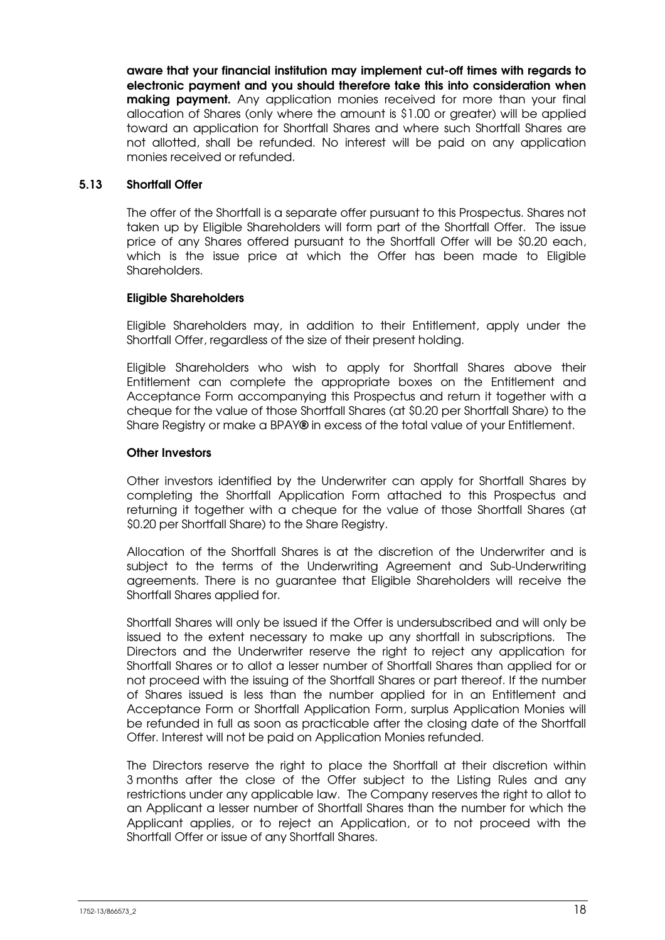aware that your financial institution may implement cut-off times with regards to electronic payment and you should therefore take this into consideration when making payment. Any application monies received for more than your final allocation of Shares (only where the amount is \$1.00 or greater) will be applied toward an application for Shortfall Shares and where such Shortfall Shares are not allotted, shall be refunded. No interest will be paid on any application monies received or refunded.

### 5.13 Shortfall Offer

The offer of the Shortfall is a separate offer pursuant to this Prospectus. Shares not taken up by Eligible Shareholders will form part of the Shortfall Offer. The issue price of any Shares offered pursuant to the Shortfall Offer will be \$0.20 each, which is the issue price at which the Offer has been made to Eligible Shareholders.

# Eligible Shareholders

Eligible Shareholders may, in addition to their Entitlement, apply under the Shortfall Offer, regardless of the size of their present holding.

Eligible Shareholders who wish to apply for Shortfall Shares above their Entitlement can complete the appropriate boxes on the Entitlement and Acceptance Form accompanying this Prospectus and return it together with a cheque for the value of those Shortfall Shares (at \$0.20 per Shortfall Share) to the Share Registry or make a BPAY® in excess of the total value of your Entitlement.

# Other Investors

Other investors identified by the Underwriter can apply for Shortfall Shares by completing the Shortfall Application Form attached to this Prospectus and returning it together with a cheque for the value of those Shortfall Shares (at \$0.20 per Shortfall Share) to the Share Registry.

Allocation of the Shortfall Shares is at the discretion of the Underwriter and is subject to the terms of the Underwriting Agreement and Sub-Underwriting agreements. There is no guarantee that Eligible Shareholders will receive the Shortfall Shares applied for.

Shortfall Shares will only be issued if the Offer is undersubscribed and will only be issued to the extent necessary to make up any shortfall in subscriptions. The Directors and the Underwriter reserve the right to reject any application for Shortfall Shares or to allot a lesser number of Shortfall Shares than applied for or not proceed with the issuing of the Shortfall Shares or part thereof. If the number of Shares issued is less than the number applied for in an Entitlement and Acceptance Form or Shortfall Application Form, surplus Application Monies will be refunded in full as soon as practicable after the closing date of the Shortfall Offer. Interest will not be paid on Application Monies refunded.

The Directors reserve the right to place the Shortfall at their discretion within 3 months after the close of the Offer subject to the Listing Rules and any restrictions under any applicable law. The Company reserves the right to allot to an Applicant a lesser number of Shortfall Shares than the number for which the Applicant applies, or to reject an Application, or to not proceed with the Shortfall Offer or issue of any Shortfall Shares.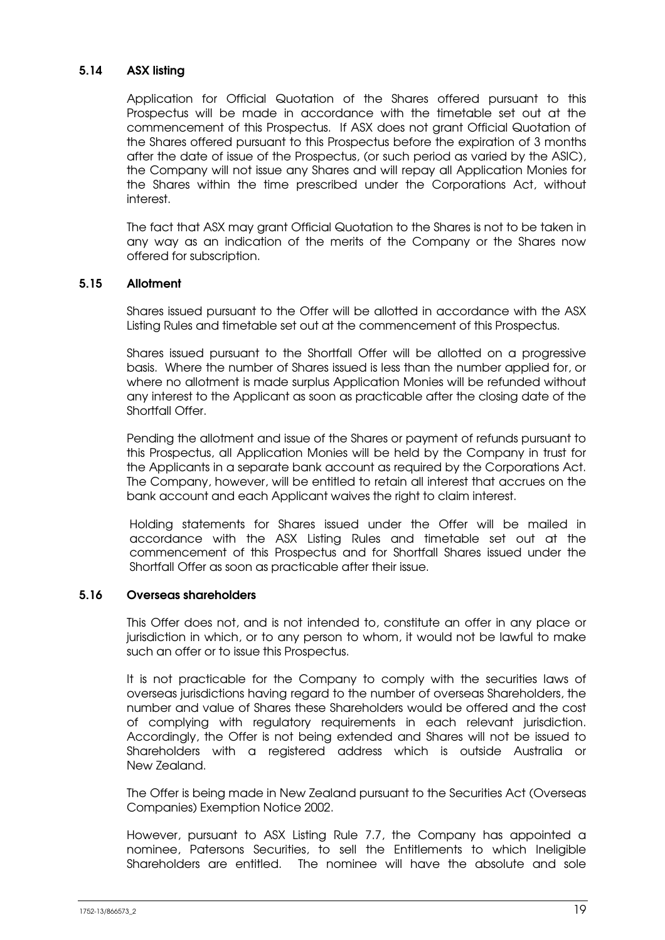### 5.14 ASX listing

Application for Official Quotation of the Shares offered pursuant to this Prospectus will be made in accordance with the timetable set out at the commencement of this Prospectus. If ASX does not grant Official Quotation of the Shares offered pursuant to this Prospectus before the expiration of 3 months after the date of issue of the Prospectus, (or such period as varied by the ASIC), the Company will not issue any Shares and will repay all Application Monies for the Shares within the time prescribed under the Corporations Act, without interest.

The fact that ASX may grant Official Quotation to the Shares is not to be taken in any way as an indication of the merits of the Company or the Shares now offered for subscription.

### 5.15 Allotment

Shares issued pursuant to the Offer will be allotted in accordance with the ASX Listing Rules and timetable set out at the commencement of this Prospectus.

Shares issued pursuant to the Shortfall Offer will be allotted on a progressive basis. Where the number of Shares issued is less than the number applied for, or where no allotment is made surplus Application Monies will be refunded without any interest to the Applicant as soon as practicable after the closing date of the Shortfall Offer.

Pending the allotment and issue of the Shares or payment of refunds pursuant to this Prospectus, all Application Monies will be held by the Company in trust for the Applicants in a separate bank account as required by the Corporations Act. The Company, however, will be entitled to retain all interest that accrues on the bank account and each Applicant waives the right to claim interest.

Holding statements for Shares issued under the Offer will be mailed in accordance with the ASX Listing Rules and timetable set out at the commencement of this Prospectus and for Shortfall Shares issued under the Shortfall Offer as soon as practicable after their issue.

### 5.16 Overseas shareholders

This Offer does not, and is not intended to, constitute an offer in any place or jurisdiction in which, or to any person to whom, it would not be lawful to make such an offer or to issue this Prospectus.

It is not practicable for the Company to comply with the securities laws of overseas jurisdictions having regard to the number of overseas Shareholders, the number and value of Shares these Shareholders would be offered and the cost of complying with regulatory requirements in each relevant jurisdiction. Accordingly, the Offer is not being extended and Shares will not be issued to Shareholders with a registered address which is outside Australia or New Zealand.

The Offer is being made in New Zealand pursuant to the Securities Act (Overseas Companies) Exemption Notice 2002.

However, pursuant to ASX Listing Rule 7.7, the Company has appointed a nominee, Patersons Securities, to sell the Entitlements to which Ineligible Shareholders are entitled. The nominee will have the absolute and sole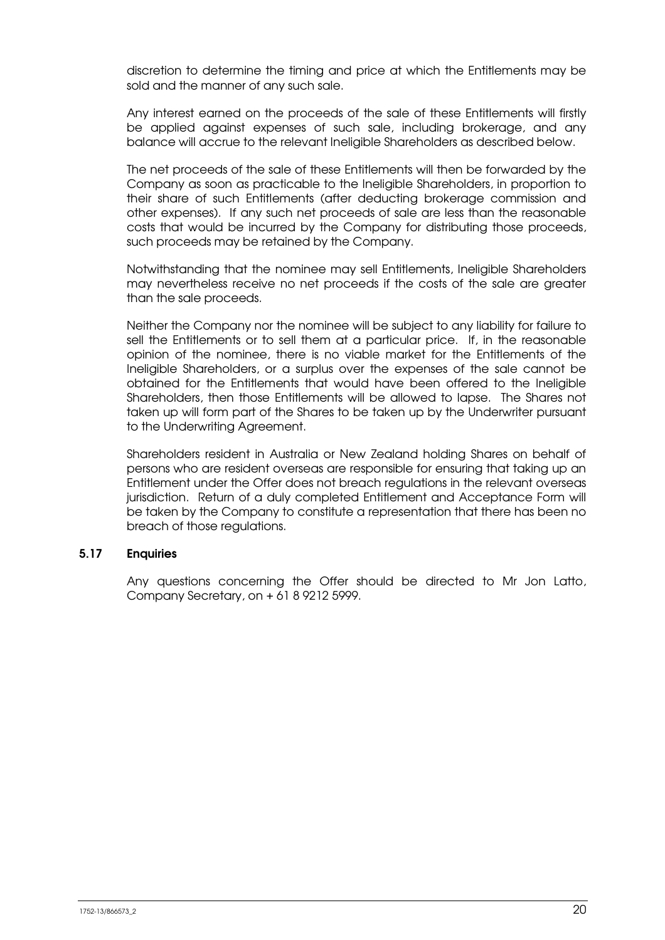discretion to determine the timing and price at which the Entitlements may be sold and the manner of any such sale.

Any interest earned on the proceeds of the sale of these Entitlements will firstly be applied against expenses of such sale, including brokerage, and any balance will accrue to the relevant Ineligible Shareholders as described below.

The net proceeds of the sale of these Entitlements will then be forwarded by the Company as soon as practicable to the Ineligible Shareholders, in proportion to their share of such Entitlements (after deducting brokerage commission and other expenses). If any such net proceeds of sale are less than the reasonable costs that would be incurred by the Company for distributing those proceeds, such proceeds may be retained by the Company.

Notwithstanding that the nominee may sell Entitlements, Ineligible Shareholders may nevertheless receive no net proceeds if the costs of the sale are greater than the sale proceeds.

Neither the Company nor the nominee will be subject to any liability for failure to sell the Entitlements or to sell them at a particular price. If, in the reasonable opinion of the nominee, there is no viable market for the Entitlements of the Ineligible Shareholders, or a surplus over the expenses of the sale cannot be obtained for the Entitlements that would have been offered to the Ineligible Shareholders, then those Entitlements will be allowed to lapse. The Shares not taken up will form part of the Shares to be taken up by the Underwriter pursuant to the Underwriting Agreement.

Shareholders resident in Australia or New Zealand holding Shares on behalf of persons who are resident overseas are responsible for ensuring that taking up an Entitlement under the Offer does not breach regulations in the relevant overseas jurisdiction. Return of a duly completed Entitlement and Acceptance Form will be taken by the Company to constitute a representation that there has been no breach of those regulations.

### 5.17 Enquiries

Any questions concerning the Offer should be directed to Mr Jon Latto, Company Secretary, on + 61 8 9212 5999.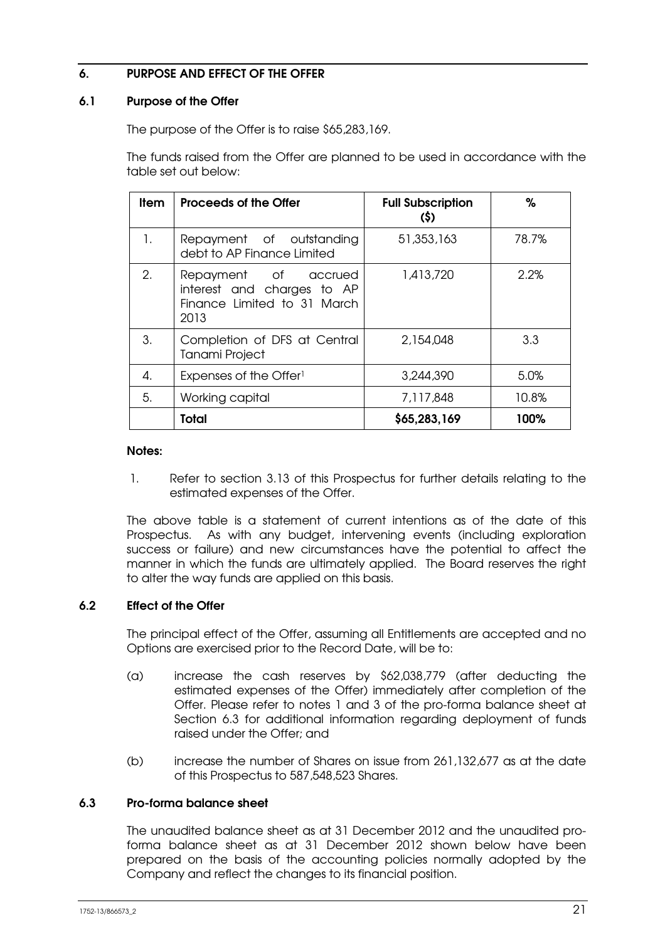# 6. PURPOSE AND EFFECT OF THE OFFER

# 6.1 Purpose of the Offer

The purpose of the Offer is to raise \$65,283,169.

The funds raised from the Offer are planned to be used in accordance with the table set out below:

| <b>Item</b> | <b>Proceeds of the Offer</b>                                                              | <b>Full Subscription</b><br>(5) | %     |
|-------------|-------------------------------------------------------------------------------------------|---------------------------------|-------|
| 1.          | Repayment of outstanding<br>debt to AP Finance Limited                                    | 51,353,163                      | 78.7% |
| 2.          | Repayment of accrued<br>interest and charges to AP<br>Finance Limited to 31 March<br>2013 | 1,413,720                       | 2.2%  |
| 3.          | Completion of DFS at Central<br>Tanami Project                                            | 2,154,048                       | 3.3   |
| 4.          | Expenses of the Offer <sup>1</sup>                                                        | 3,244,390                       | 5.0%  |
| 5.          | Working capital                                                                           | 7,117,848                       | 10.8% |
|             | <b>Total</b>                                                                              | \$65,283,169                    | 100%  |

### Notes:

1. Refer to section 3.13 of this Prospectus for further details relating to the estimated expenses of the Offer.

The above table is a statement of current intentions as of the date of this Prospectus. As with any budget, intervening events (including exploration success or failure) and new circumstances have the potential to affect the manner in which the funds are ultimately applied. The Board reserves the right to alter the way funds are applied on this basis.

# 6.2 Effect of the Offer

The principal effect of the Offer, assuming all Entitlements are accepted and no Options are exercised prior to the Record Date, will be to:

- (a) increase the cash reserves by \$62,038,779 (after deducting the estimated expenses of the Offer) immediately after completion of the Offer. Please refer to notes 1 and 3 of the pro-forma balance sheet at Section 6.3 for additional information regarding deployment of funds raised under the Offer; and
- (b) increase the number of Shares on issue from 261,132,677 as at the date of this Prospectus to 587,548,523 Shares.

# 6.3 Pro-forma balance sheet

The unaudited balance sheet as at 31 December 2012 and the unaudited proforma balance sheet as at 31 December 2012 shown below have been prepared on the basis of the accounting policies normally adopted by the Company and reflect the changes to its financial position.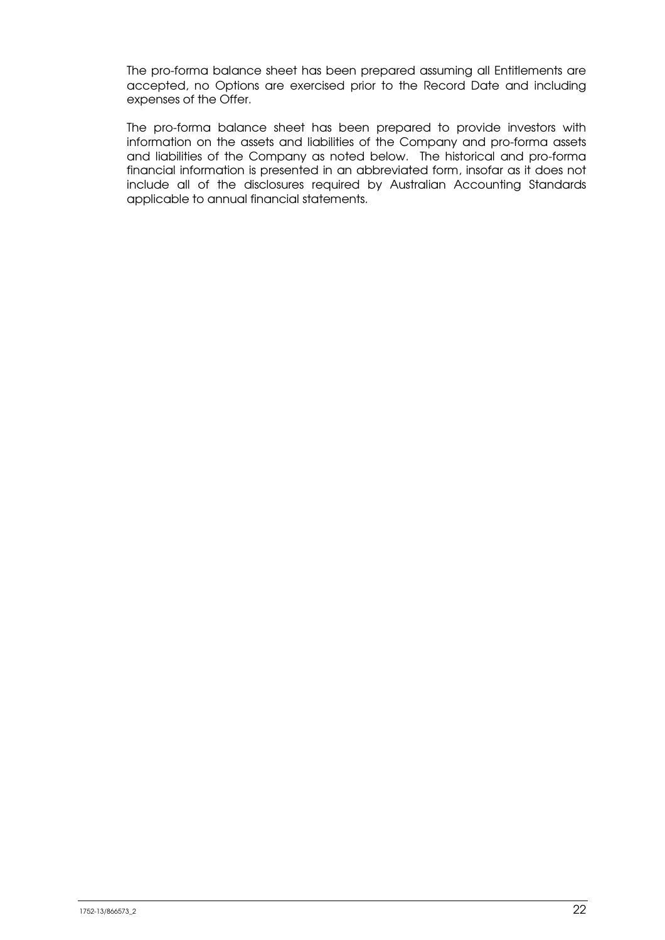The pro-forma balance sheet has been prepared assuming all Entitlements are accepted, no Options are exercised prior to the Record Date and including expenses of the Offer.

The pro-forma balance sheet has been prepared to provide investors with information on the assets and liabilities of the Company and pro-forma assets and liabilities of the Company as noted below. The historical and pro-forma financial information is presented in an abbreviated form, insofar as it does not include all of the disclosures required by Australian Accounting Standards applicable to annual financial statements.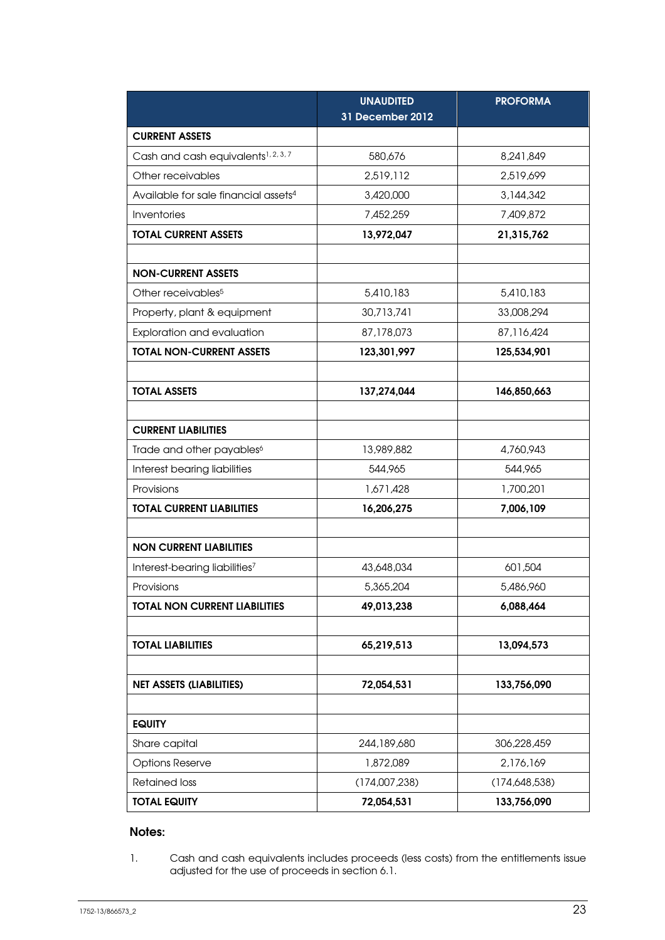|                                                  | <b>UNAUDITED</b><br>31 December 2012 | <b>PROFORMA</b> |
|--------------------------------------------------|--------------------------------------|-----------------|
| <b>CURRENT ASSETS</b>                            |                                      |                 |
| Cash and cash equivalents <sup>1, 2, 3, 7</sup>  | 580,676                              | 8,241,849       |
| Other receivables                                | 2,519,112                            | 2,519,699       |
| Available for sale financial assets <sup>4</sup> | 3,420,000                            | 3,144,342       |
| Inventories                                      | 7,452,259                            | 7,409,872       |
| <b>TOTAL CURRENT ASSETS</b>                      | 13,972,047                           | 21,315,762      |
|                                                  |                                      |                 |
| <b>NON-CURRENT ASSETS</b>                        |                                      |                 |
| Other receivables <sup>5</sup>                   | 5,410,183                            | 5,410,183       |
| Property, plant & equipment                      | 30,713,741                           | 33,008,294      |
| Exploration and evaluation                       | 87,178,073                           | 87,116,424      |
| <b>TOTAL NON-CURRENT ASSETS</b>                  | 123,301,997                          | 125,534,901     |
|                                                  |                                      |                 |
| <b>TOTAL ASSETS</b>                              | 137,274,044                          | 146,850,663     |
|                                                  |                                      |                 |
| <b>CURRENT LIABILITIES</b>                       |                                      |                 |
| Trade and other payables <sup>6</sup>            | 13,989,882                           | 4,760,943       |
| Interest bearing liabilities                     | 544,965                              | 544,965         |
| Provisions                                       | 1,671,428                            | 1,700,201       |
| <b>TOTAL CURRENT LIABILITIES</b>                 | 16,206,275                           | 7,006,109       |
|                                                  |                                      |                 |
| <b>NON CURRENT LIABILITIES</b>                   |                                      |                 |
| Interest-bearing liabilities7                    | 43,648,034                           | 601,504         |
| Provisions                                       | 5,365,204                            | 5,486,960       |
| <b>TOTAL NON CURRENT LIABILITIES</b>             | 49,013,238                           | 6,088,464       |
|                                                  |                                      |                 |
| <b>TOTAL LIABILITIES</b>                         | 65,219,513                           | 13,094,573      |
|                                                  |                                      |                 |
| <b>NET ASSETS (LIABILITIES)</b>                  | 72,054,531                           | 133,756,090     |
|                                                  |                                      |                 |
| <b>EQUITY</b>                                    |                                      |                 |
| Share capital                                    | 244, 189, 680                        | 306,228,459     |
| <b>Options Reserve</b>                           | 1,872,089                            | 2,176,169       |
| <b>Retained loss</b>                             | (174,007,238)                        | (174,648,538)   |
| <b>TOTAL EQUITY</b>                              | 72,054,531                           | 133,756,090     |

# Notes:

1. Cash and cash equivalents includes proceeds (less costs) from the entitlements issue adjusted for the use of proceeds in section 6.1.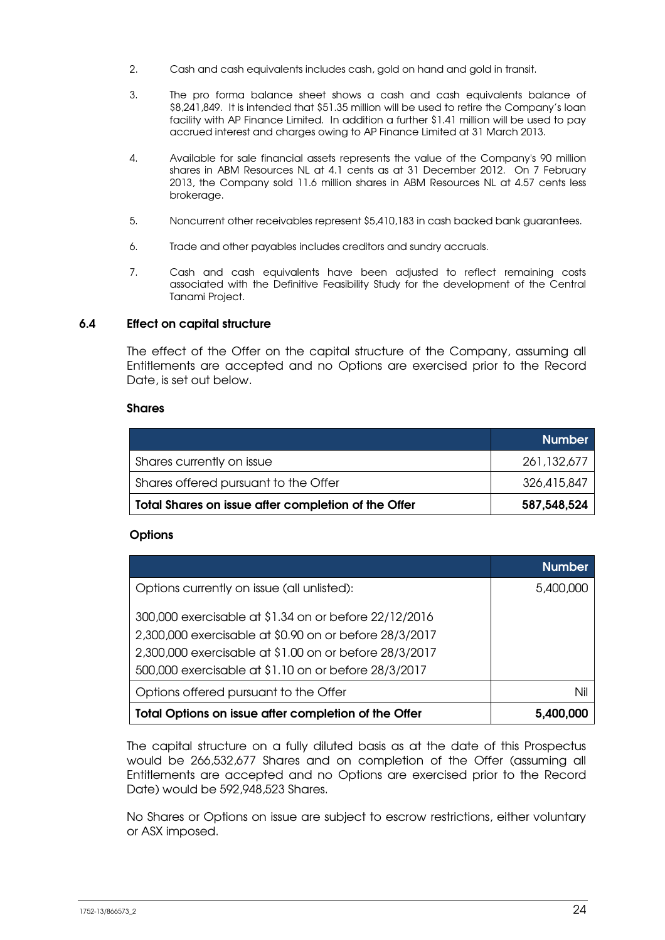- 2. Cash and cash equivalents includes cash, gold on hand and gold in transit.
- 3. The pro forma balance sheet shows a cash and cash equivalents balance of \$8,241,849. It is intended that \$51.35 million will be used to retire the Company's loan facility with AP Finance Limited. In addition a further \$1.41 million will be used to pay accrued interest and charges owing to AP Finance Limited at 31 March 2013.
- 4. Available for sale financial assets represents the value of the Company's 90 million shares in ABM Resources NL at 4.1 cents as at 31 December 2012. On 7 February 2013, the Company sold 11.6 million shares in ABM Resources NL at 4.57 cents less brokerage.
- 5. Noncurrent other receivables represent \$5,410,183 in cash backed bank guarantees.
- 6. Trade and other payables includes creditors and sundry accruals.
- 7. Cash and cash equivalents have been adjusted to reflect remaining costs associated with the Definitive Feasibility Study for the development of the Central Tanami Project.

### 6.4 Effect on capital structure

The effect of the Offer on the capital structure of the Company, assuming all Entitlements are accepted and no Options are exercised prior to the Record Date, is set out below.

#### Shares

|                                                     | <b>Number</b> |
|-----------------------------------------------------|---------------|
| Shares currently on issue                           | 261,132,677   |
| Shares offered pursuant to the Offer                | 326,415,847   |
| Total Shares on issue after completion of the Offer | 587,548,524   |

### **Options**

|                                                                                                                                                                                                                                   | <b>Number</b> |
|-----------------------------------------------------------------------------------------------------------------------------------------------------------------------------------------------------------------------------------|---------------|
| Options currently on issue (all unlisted):                                                                                                                                                                                        | 5,400,000     |
| 300,000 exercisable at \$1.34 on or before 22/12/2016<br>2,300,000 exercisable at \$0.90 on or before 28/3/2017<br>2,300,000 exercisable at \$1.00 on or before 28/3/2017<br>500,000 exercisable at \$1.10 on or before 28/3/2017 |               |
| Options offered pursuant to the Offer                                                                                                                                                                                             | Nil           |
| Total Options on issue after completion of the Offer                                                                                                                                                                              | 5,400,000     |

The capital structure on a fully diluted basis as at the date of this Prospectus would be 266,532,677 Shares and on completion of the Offer (assuming all Entitlements are accepted and no Options are exercised prior to the Record Date) would be 592,948,523 Shares.

No Shares or Options on issue are subject to escrow restrictions, either voluntary or ASX imposed.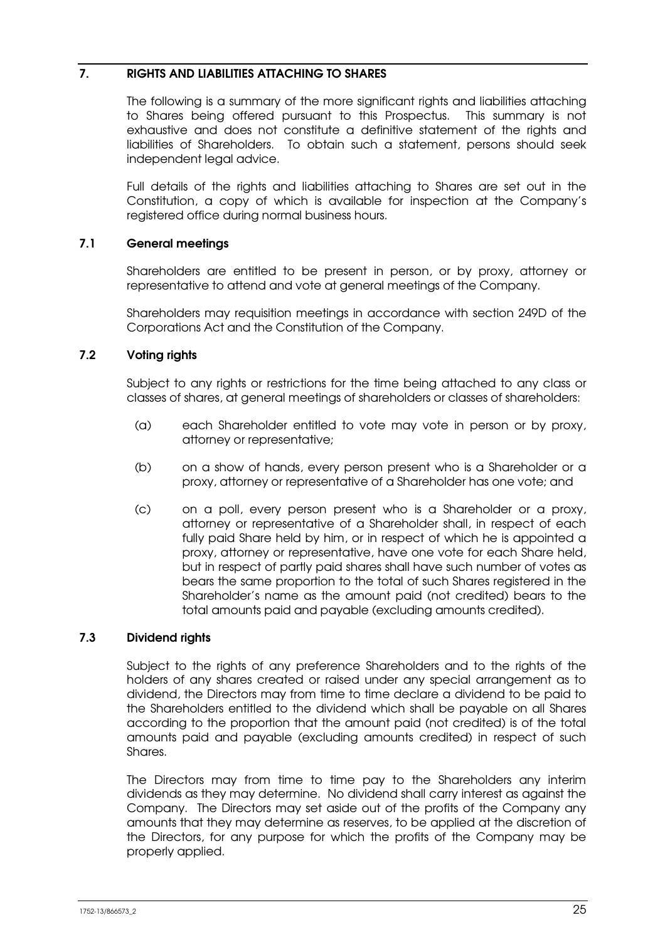# 7. RIGHTS AND LIABILITIES ATTACHING TO SHARES

The following is a summary of the more significant rights and liabilities attaching to Shares being offered pursuant to this Prospectus. This summary is not exhaustive and does not constitute a definitive statement of the rights and liabilities of Shareholders. To obtain such a statement, persons should seek independent legal advice.

Full details of the rights and liabilities attaching to Shares are set out in the Constitution, a copy of which is available for inspection at the Company's registered office during normal business hours.

# 7.1 General meetings

Shareholders are entitled to be present in person, or by proxy, attorney or representative to attend and vote at general meetings of the Company.

Shareholders may requisition meetings in accordance with section 249D of the Corporations Act and the Constitution of the Company.

# 7.2 Voting rights

Subject to any rights or restrictions for the time being attached to any class or classes of shares, at general meetings of shareholders or classes of shareholders:

- (a) each Shareholder entitled to vote may vote in person or by proxy, attorney or representative;
- (b) on a show of hands, every person present who is a Shareholder or a proxy, attorney or representative of a Shareholder has one vote; and
- (c) on a poll, every person present who is a Shareholder or a proxy, attorney or representative of a Shareholder shall, in respect of each fully paid Share held by him, or in respect of which he is appointed a proxy, attorney or representative, have one vote for each Share held, but in respect of partly paid shares shall have such number of votes as bears the same proportion to the total of such Shares registered in the Shareholder's name as the amount paid (not credited) bears to the total amounts paid and payable (excluding amounts credited).

### 7.3 Dividend rights

Subject to the rights of any preference Shareholders and to the rights of the holders of any shares created or raised under any special arrangement as to dividend, the Directors may from time to time declare a dividend to be paid to the Shareholders entitled to the dividend which shall be payable on all Shares according to the proportion that the amount paid (not credited) is of the total amounts paid and payable (excluding amounts credited) in respect of such Shares.

The Directors may from time to time pay to the Shareholders any interim dividends as they may determine. No dividend shall carry interest as against the Company. The Directors may set aside out of the profits of the Company any amounts that they may determine as reserves, to be applied at the discretion of the Directors, for any purpose for which the profits of the Company may be properly applied.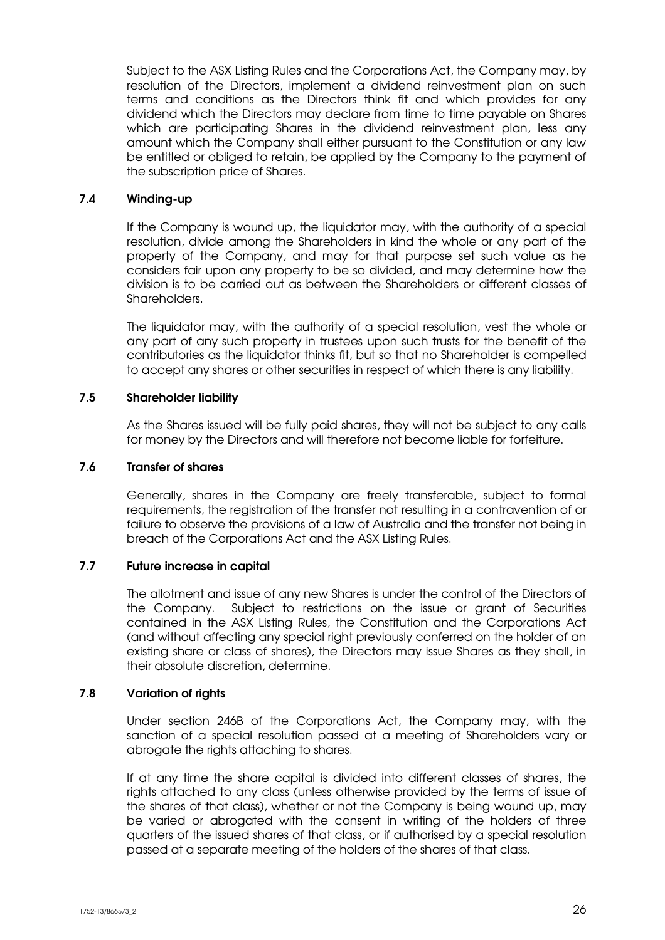Subject to the ASX Listing Rules and the Corporations Act, the Company may, by resolution of the Directors, implement a dividend reinvestment plan on such terms and conditions as the Directors think fit and which provides for any dividend which the Directors may declare from time to time payable on Shares which are participating Shares in the dividend reinvestment plan, less any amount which the Company shall either pursuant to the Constitution or any law be entitled or obliged to retain, be applied by the Company to the payment of the subscription price of Shares.

### 7.4 Winding-up

If the Company is wound up, the liquidator may, with the authority of a special resolution, divide among the Shareholders in kind the whole or any part of the property of the Company, and may for that purpose set such value as he considers fair upon any property to be so divided, and may determine how the division is to be carried out as between the Shareholders or different classes of Shareholders.

The liquidator may, with the authority of a special resolution, vest the whole or any part of any such property in trustees upon such trusts for the benefit of the contributories as the liquidator thinks fit, but so that no Shareholder is compelled to accept any shares or other securities in respect of which there is any liability.

### 7.5 Shareholder liability

As the Shares issued will be fully paid shares, they will not be subject to any calls for money by the Directors and will therefore not become liable for forfeiture.

### 7.6 Transfer of shares

Generally, shares in the Company are freely transferable, subject to formal requirements, the registration of the transfer not resulting in a contravention of or failure to observe the provisions of a law of Australia and the transfer not being in breach of the Corporations Act and the ASX Listing Rules.

### 7.7 Future increase in capital

The allotment and issue of any new Shares is under the control of the Directors of the Company. Subject to restrictions on the issue or grant of Securities contained in the ASX Listing Rules, the Constitution and the Corporations Act (and without affecting any special right previously conferred on the holder of an existing share or class of shares), the Directors may issue Shares as they shall, in their absolute discretion, determine.

### 7.8 Variation of rights

Under section 246B of the Corporations Act, the Company may, with the sanction of a special resolution passed at a meeting of Shareholders vary or abrogate the rights attaching to shares.

If at any time the share capital is divided into different classes of shares, the rights attached to any class (unless otherwise provided by the terms of issue of the shares of that class), whether or not the Company is being wound up, may be varied or abrogated with the consent in writing of the holders of three quarters of the issued shares of that class, or if authorised by a special resolution passed at a separate meeting of the holders of the shares of that class.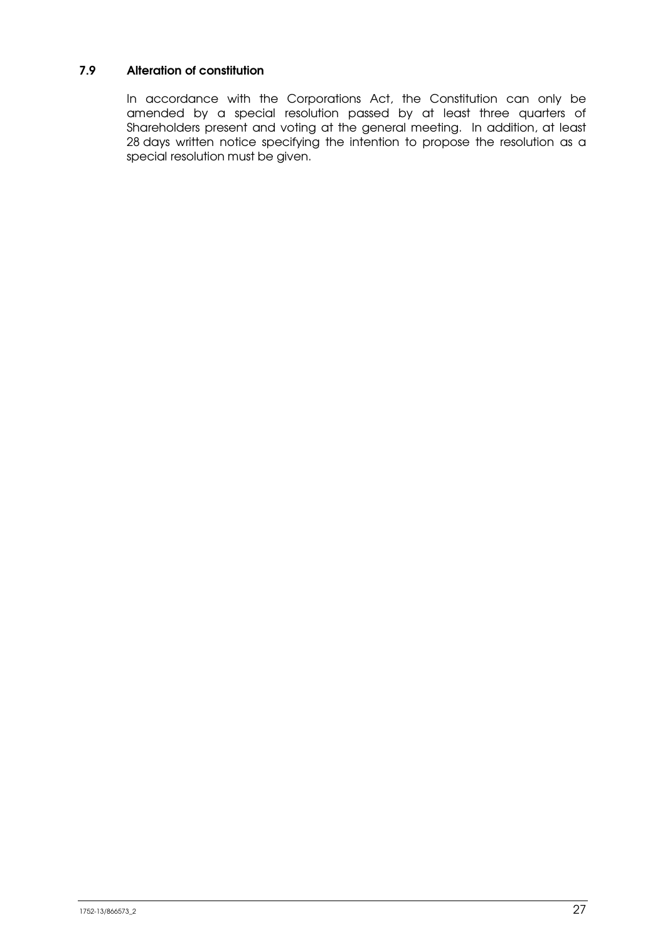# 7.9 Alteration of constitution

In accordance with the Corporations Act, the Constitution can only be amended by a special resolution passed by at least three quarters of Shareholders present and voting at the general meeting. In addition, at least 28 days written notice specifying the intention to propose the resolution as a special resolution must be given.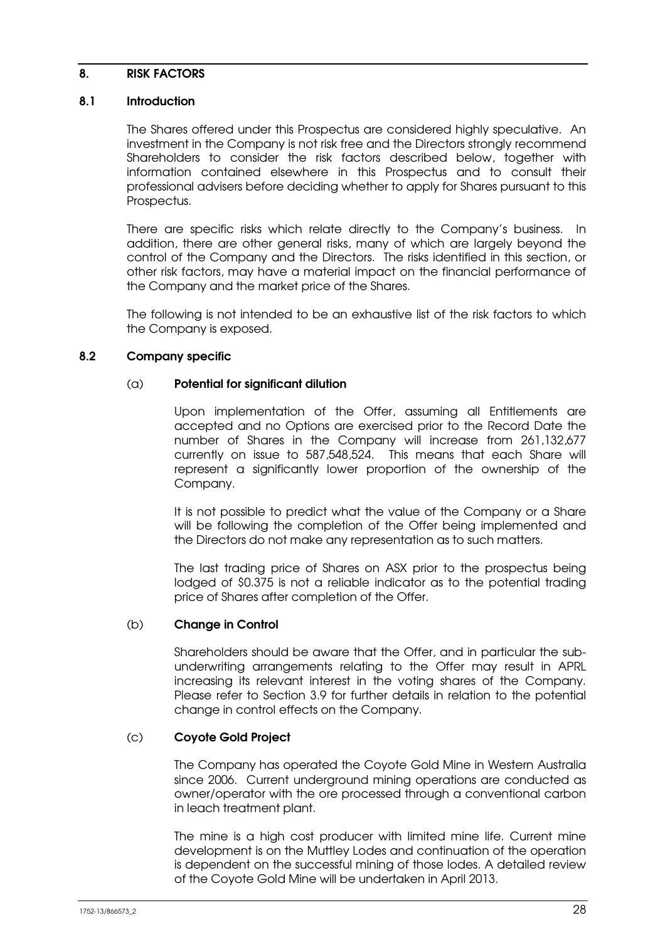### 8. RISK FACTORS

### 8.1 Introduction

The Shares offered under this Prospectus are considered highly speculative. An investment in the Company is not risk free and the Directors strongly recommend Shareholders to consider the risk factors described below, together with information contained elsewhere in this Prospectus and to consult their professional advisers before deciding whether to apply for Shares pursuant to this Prospectus.

There are specific risks which relate directly to the Company's business. In addition, there are other general risks, many of which are largely beyond the control of the Company and the Directors. The risks identified in this section, or other risk factors, may have a material impact on the financial performance of the Company and the market price of the Shares.

The following is not intended to be an exhaustive list of the risk factors to which the Company is exposed.

### 8.2 Company specific

### (a) Potential for significant dilution

Upon implementation of the Offer, assuming all Entitlements are accepted and no Options are exercised prior to the Record Date the number of Shares in the Company will increase from 261,132,677 currently on issue to 587,548,524. This means that each Share will represent a significantly lower proportion of the ownership of the Company.

It is not possible to predict what the value of the Company or a Share will be following the completion of the Offer being implemented and the Directors do not make any representation as to such matters.

The last trading price of Shares on ASX prior to the prospectus being lodged of \$0.375 is not a reliable indicator as to the potential trading price of Shares after completion of the Offer.

### (b) Change in Control

Shareholders should be aware that the Offer, and in particular the subunderwriting arrangements relating to the Offer may result in APRL increasing its relevant interest in the voting shares of the Company. Please refer to Section 3.9 for further details in relation to the potential change in control effects on the Company.

### (c) Coyote Gold Project

The Company has operated the Coyote Gold Mine in Western Australia since 2006. Current underground mining operations are conducted as owner/operator with the ore processed through a conventional carbon in leach treatment plant.

The mine is a high cost producer with limited mine life. Current mine development is on the Muttley Lodes and continuation of the operation is dependent on the successful mining of those lodes. A detailed review of the Coyote Gold Mine will be undertaken in April 2013.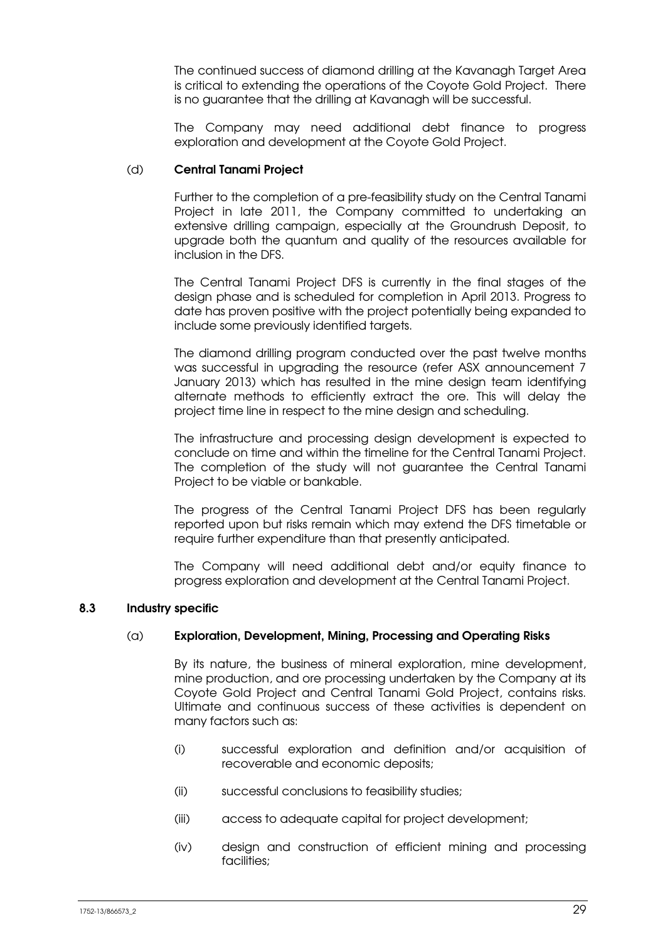The continued success of diamond drilling at the Kavanagh Target Area is critical to extending the operations of the Coyote Gold Project. There is no guarantee that the drilling at Kavanagh will be successful.

The Company may need additional debt finance to progress exploration and development at the Coyote Gold Project.

### (d) Central Tanami Project

Further to the completion of a pre-feasibility study on the Central Tanami Project in late 2011, the Company committed to undertaking an extensive drilling campaign, especially at the Groundrush Deposit, to upgrade both the quantum and quality of the resources available for inclusion in the DFS.

The Central Tanami Project DFS is currently in the final stages of the design phase and is scheduled for completion in April 2013. Progress to date has proven positive with the project potentially being expanded to include some previously identified targets.

The diamond drilling program conducted over the past twelve months was successful in upgrading the resource (refer ASX announcement 7 January 2013) which has resulted in the mine design team identifying alternate methods to efficiently extract the ore. This will delay the project time line in respect to the mine design and scheduling.

The infrastructure and processing design development is expected to conclude on time and within the timeline for the Central Tanami Project. The completion of the study will not guarantee the Central Tanami Project to be viable or bankable.

The progress of the Central Tanami Project DFS has been regularly reported upon but risks remain which may extend the DFS timetable or require further expenditure than that presently anticipated.

The Company will need additional debt and/or equity finance to progress exploration and development at the Central Tanami Project.

### 8.3 Industry specific

#### (a) Exploration, Development, Mining, Processing and Operating Risks

By its nature, the business of mineral exploration, mine development, mine production, and ore processing undertaken by the Company at its Coyote Gold Project and Central Tanami Gold Project, contains risks. Ultimate and continuous success of these activities is dependent on many factors such as:

- (i) successful exploration and definition and/or acquisition of recoverable and economic deposits;
- (ii) successful conclusions to feasibility studies;
- (iii) access to adequate capital for project development;
- (iv) design and construction of efficient mining and processing facilities;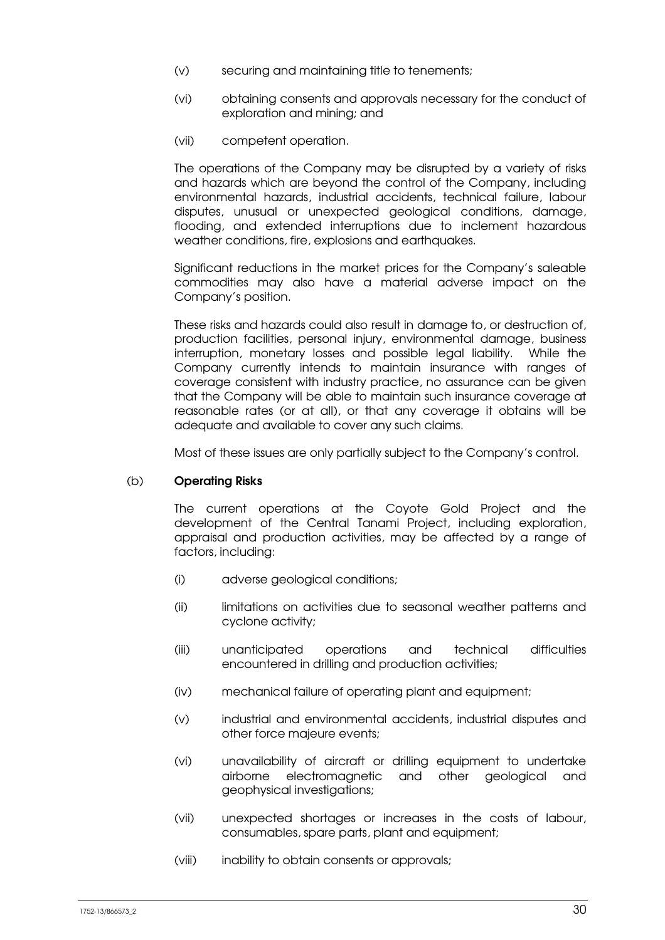- (v) securing and maintaining title to tenements;
- (vi) obtaining consents and approvals necessary for the conduct of exploration and mining; and
- (vii) competent operation.

The operations of the Company may be disrupted by a variety of risks and hazards which are beyond the control of the Company, including environmental hazards, industrial accidents, technical failure, labour disputes, unusual or unexpected geological conditions, damage, flooding, and extended interruptions due to inclement hazardous weather conditions, fire, explosions and earthquakes.

Significant reductions in the market prices for the Company's saleable commodities may also have a material adverse impact on the Company's position.

These risks and hazards could also result in damage to, or destruction of, production facilities, personal injury, environmental damage, business interruption, monetary losses and possible legal liability. While the Company currently intends to maintain insurance with ranges of coverage consistent with industry practice, no assurance can be given that the Company will be able to maintain such insurance coverage at reasonable rates (or at all), or that any coverage it obtains will be adequate and available to cover any such claims.

Most of these issues are only partially subject to the Company's control.

### (b) Operating Risks

The current operations at the Coyote Gold Project and the development of the Central Tanami Project, including exploration, appraisal and production activities, may be affected by a range of factors, including:

- (i) adverse geological conditions;
- (ii) limitations on activities due to seasonal weather patterns and cyclone activity;
- (iii) unanticipated operations and technical difficulties encountered in drilling and production activities;
- (iv) mechanical failure of operating plant and equipment;
- (v) industrial and environmental accidents, industrial disputes and other force majeure events;
- (vi) unavailability of aircraft or drilling equipment to undertake airborne electromagnetic and other geological and geophysical investigations;
- (vii) unexpected shortages or increases in the costs of labour, consumables, spare parts, plant and equipment;
- (viii) inability to obtain consents or approvals;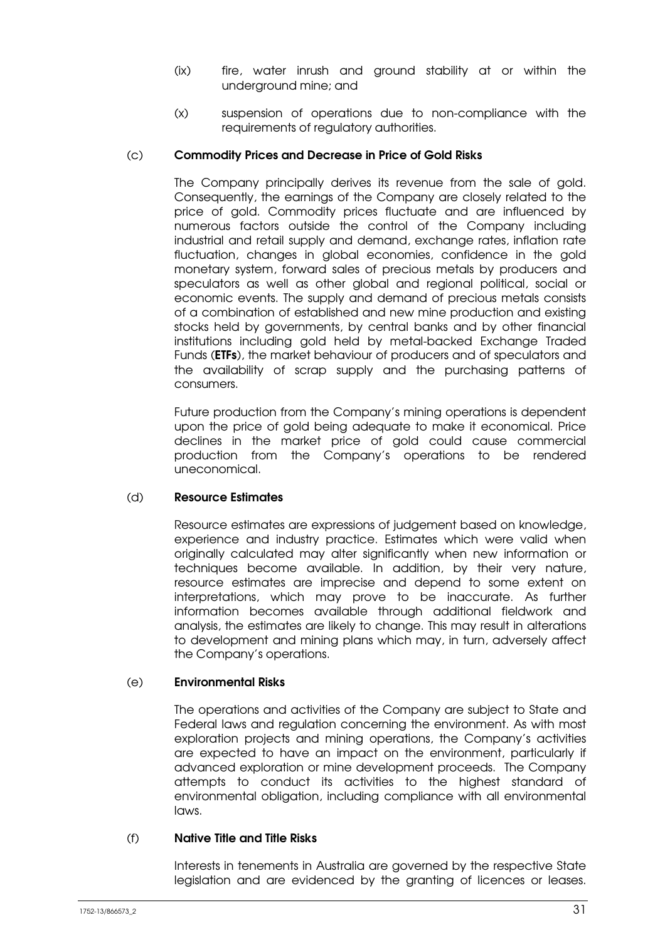- (ix) fire, water inrush and ground stability at or within the underground mine; and
- (x) suspension of operations due to non-compliance with the requirements of regulatory authorities.

### (c) Commodity Prices and Decrease in Price of Gold Risks

The Company principally derives its revenue from the sale of gold. Consequently, the earnings of the Company are closely related to the price of gold. Commodity prices fluctuate and are influenced by numerous factors outside the control of the Company including industrial and retail supply and demand, exchange rates, inflation rate fluctuation, changes in global economies, confidence in the gold monetary system, forward sales of precious metals by producers and speculators as well as other global and regional political, social or economic events. The supply and demand of precious metals consists of a combination of established and new mine production and existing stocks held by governments, by central banks and by other financial institutions including gold held by metal-backed Exchange Traded Funds (ETFs), the market behaviour of producers and of speculators and the availability of scrap supply and the purchasing patterns of consumers.

Future production from the Company's mining operations is dependent upon the price of gold being adequate to make it economical. Price declines in the market price of gold could cause commercial production from the Company's operations to be rendered uneconomical.

### (d) Resource Estimates

Resource estimates are expressions of judgement based on knowledge, experience and industry practice. Estimates which were valid when originally calculated may alter significantly when new information or techniques become available. In addition, by their very nature, resource estimates are imprecise and depend to some extent on interpretations, which may prove to be inaccurate. As further information becomes available through additional fieldwork and analysis, the estimates are likely to change. This may result in alterations to development and mining plans which may, in turn, adversely affect the Company's operations.

#### (e) Environmental Risks

The operations and activities of the Company are subject to State and Federal laws and regulation concerning the environment. As with most exploration projects and mining operations, the Company's activities are expected to have an impact on the environment, particularly if advanced exploration or mine development proceeds. The Company attempts to conduct its activities to the highest standard of environmental obligation, including compliance with all environmental laws.

### (f) Native Title and Title Risks

Interests in tenements in Australia are governed by the respective State legislation and are evidenced by the granting of licences or leases.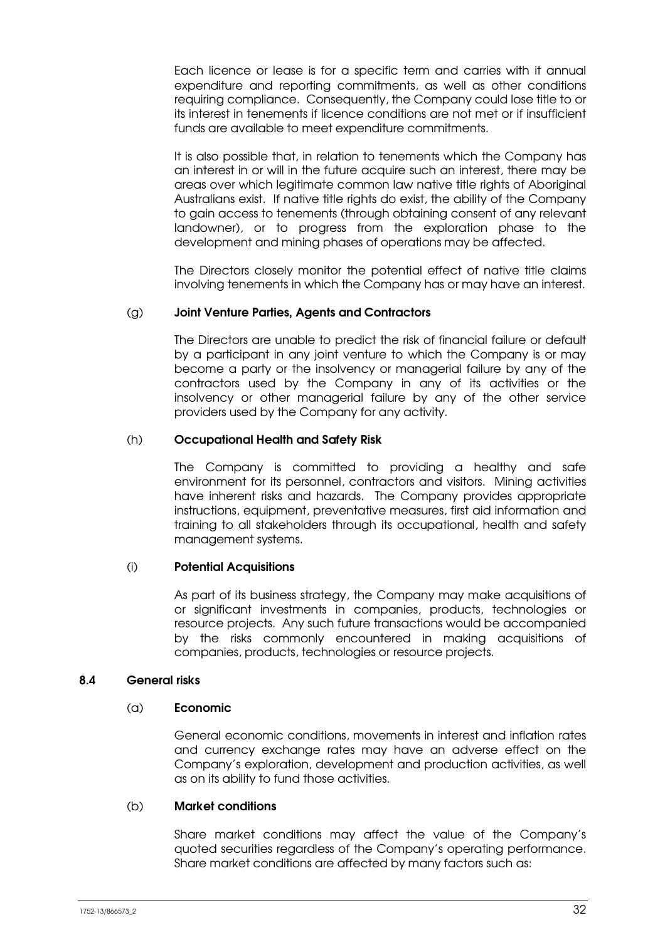Each licence or lease is for a specific term and carries with it annual expenditure and reporting commitments, as well as other conditions requiring compliance. Consequently, the Company could lose title to or its interest in tenements if licence conditions are not met or if insufficient funds are available to meet expenditure commitments.

It is also possible that, in relation to tenements which the Company has an interest in or will in the future acquire such an interest, there may be areas over which legitimate common law native title rights of Aboriginal Australians exist. If native title rights do exist, the ability of the Company to gain access to tenements (through obtaining consent of any relevant landowner), or to progress from the exploration phase to the development and mining phases of operations may be affected.

The Directors closely monitor the potential effect of native title claims involving tenements in which the Company has or may have an interest.

# (g) Joint Venture Parties, Agents and Contractors

The Directors are unable to predict the risk of financial failure or default by a participant in any joint venture to which the Company is or may become a party or the insolvency or managerial failure by any of the contractors used by the Company in any of its activities or the insolvency or other managerial failure by any of the other service providers used by the Company for any activity.

### (h) Occupational Health and Safety Risk

The Company is committed to providing a healthy and safe environment for its personnel, contractors and visitors. Mining activities have inherent risks and hazards. The Company provides appropriate instructions, equipment, preventative measures, first aid information and training to all stakeholders through its occupational, health and safety management systems.

### (i) Potential Acquisitions

As part of its business strategy, the Company may make acquisitions of or significant investments in companies, products, technologies or resource projects. Any such future transactions would be accompanied by the risks commonly encountered in making acquisitions of companies, products, technologies or resource projects.

### 8.4 General risks

### (a) Economic

General economic conditions, movements in interest and inflation rates and currency exchange rates may have an adverse effect on the Company's exploration, development and production activities, as well as on its ability to fund those activities.

### (b) Market conditions

Share market conditions may affect the value of the Company's quoted securities regardless of the Company's operating performance. Share market conditions are affected by many factors such as: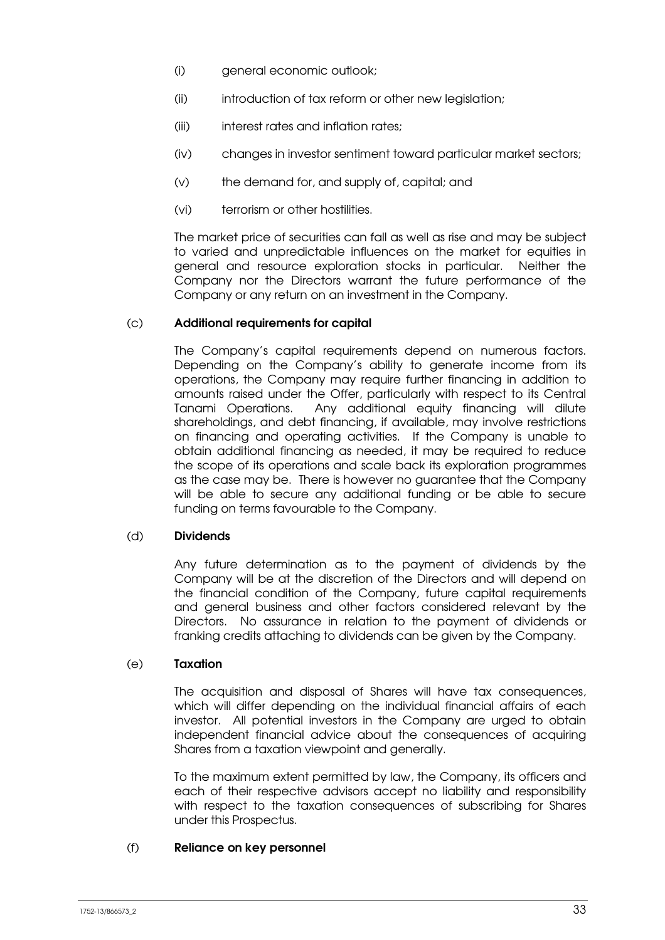- (i) general economic outlook;
- (ii) introduction of tax reform or other new legislation;
- (iii) interest rates and inflation rates;
- (iv) changes in investor sentiment toward particular market sectors;
- (v) the demand for, and supply of, capital; and
- (vi) terrorism or other hostilities.

The market price of securities can fall as well as rise and may be subject to varied and unpredictable influences on the market for equities in general and resource exploration stocks in particular. Neither the Company nor the Directors warrant the future performance of the Company or any return on an investment in the Company.

### (c) Additional requirements for capital

The Company's capital requirements depend on numerous factors. Depending on the Company's ability to generate income from its operations, the Company may require further financing in addition to amounts raised under the Offer, particularly with respect to its Central Tanami Operations. Any additional equity financing will dilute shareholdings, and debt financing, if available, may involve restrictions on financing and operating activities. If the Company is unable to obtain additional financing as needed, it may be required to reduce the scope of its operations and scale back its exploration programmes as the case may be. There is however no guarantee that the Company will be able to secure any additional funding or be able to secure funding on terms favourable to the Company.

### (d) Dividends

Any future determination as to the payment of dividends by the Company will be at the discretion of the Directors and will depend on the financial condition of the Company, future capital requirements and general business and other factors considered relevant by the Directors. No assurance in relation to the payment of dividends or franking credits attaching to dividends can be given by the Company.

### (e) Taxation

The acquisition and disposal of Shares will have tax consequences, which will differ depending on the individual financial affairs of each investor. All potential investors in the Company are urged to obtain independent financial advice about the consequences of acquiring Shares from a taxation viewpoint and generally.

To the maximum extent permitted by law, the Company, its officers and each of their respective advisors accept no liability and responsibility with respect to the taxation consequences of subscribing for Shares under this Prospectus.

### (f) Reliance on key personnel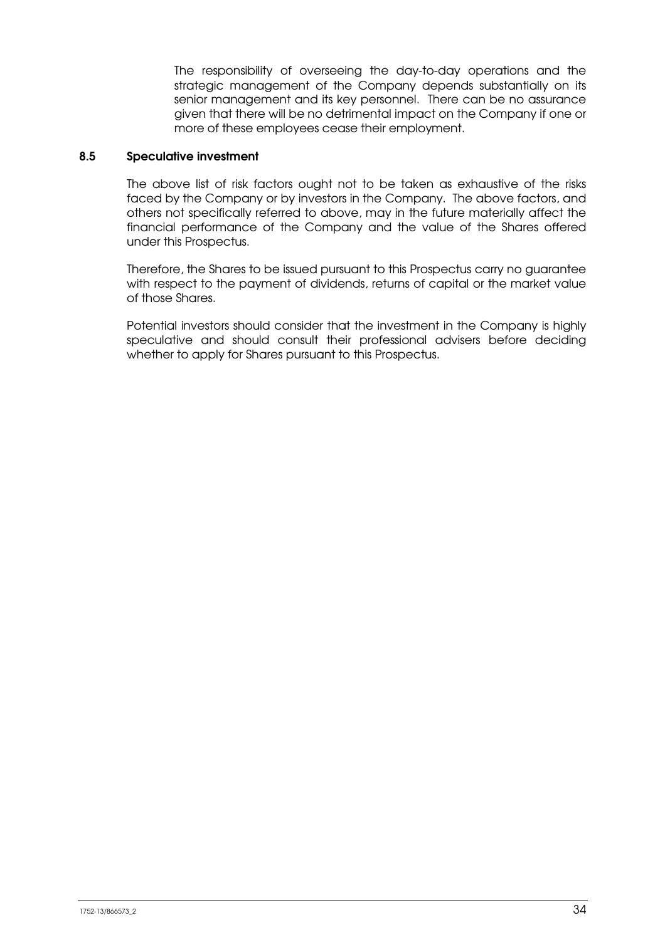The responsibility of overseeing the day-to-day operations and the strategic management of the Company depends substantially on its senior management and its key personnel. There can be no assurance given that there will be no detrimental impact on the Company if one or more of these employees cease their employment.

### 8.5 Speculative investment

The above list of risk factors ought not to be taken as exhaustive of the risks faced by the Company or by investors in the Company. The above factors, and others not specifically referred to above, may in the future materially affect the financial performance of the Company and the value of the Shares offered under this Prospectus.

Therefore, the Shares to be issued pursuant to this Prospectus carry no guarantee with respect to the payment of dividends, returns of capital or the market value of those Shares.

Potential investors should consider that the investment in the Company is highly speculative and should consult their professional advisers before deciding whether to apply for Shares pursuant to this Prospectus.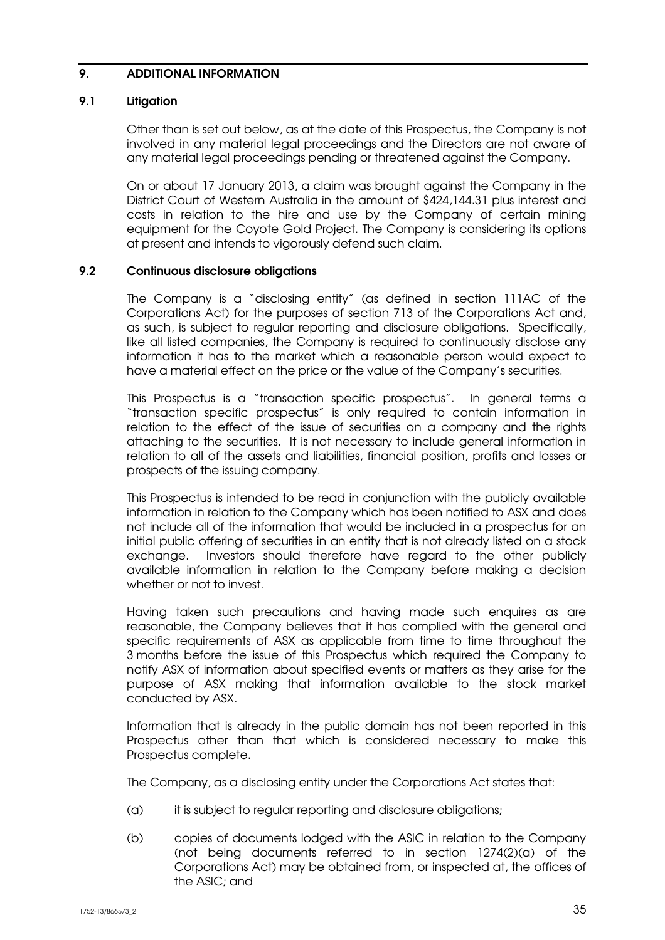# 9. ADDITIONAL INFORMATION

### 9.1 Litigation

Other than is set out below, as at the date of this Prospectus, the Company is not involved in any material legal proceedings and the Directors are not aware of any material legal proceedings pending or threatened against the Company.

On or about 17 January 2013, a claim was brought against the Company in the District Court of Western Australia in the amount of \$424,144.31 plus interest and costs in relation to the hire and use by the Company of certain mining equipment for the Coyote Gold Project. The Company is considering its options at present and intends to vigorously defend such claim.

### 9.2 Continuous disclosure obligations

The Company is a "disclosing entity" (as defined in section 111AC of the Corporations Act) for the purposes of section 713 of the Corporations Act and, as such, is subject to regular reporting and disclosure obligations. Specifically, like all listed companies, the Company is required to continuously disclose any information it has to the market which a reasonable person would expect to have a material effect on the price or the value of the Company's securities.

This Prospectus is a "transaction specific prospectus". In general terms a "transaction specific prospectus" is only required to contain information in relation to the effect of the issue of securities on a company and the rights attaching to the securities. It is not necessary to include general information in relation to all of the assets and liabilities, financial position, profits and losses or prospects of the issuing company.

This Prospectus is intended to be read in conjunction with the publicly available information in relation to the Company which has been notified to ASX and does not include all of the information that would be included in a prospectus for an initial public offering of securities in an entity that is not already listed on a stock exchange. Investors should therefore have regard to the other publicly available information in relation to the Company before making a decision whether or not to invest.

Having taken such precautions and having made such enquires as are reasonable, the Company believes that it has complied with the general and specific requirements of ASX as applicable from time to time throughout the 3 months before the issue of this Prospectus which required the Company to notify ASX of information about specified events or matters as they arise for the purpose of ASX making that information available to the stock market conducted by ASX.

Information that is already in the public domain has not been reported in this Prospectus other than that which is considered necessary to make this Prospectus complete.

The Company, as a disclosing entity under the Corporations Act states that:

- (a) it is subject to regular reporting and disclosure obligations;
- (b) copies of documents lodged with the ASIC in relation to the Company (not being documents referred to in section 1274(2)(a) of the Corporations Act) may be obtained from, or inspected at, the offices of the ASIC; and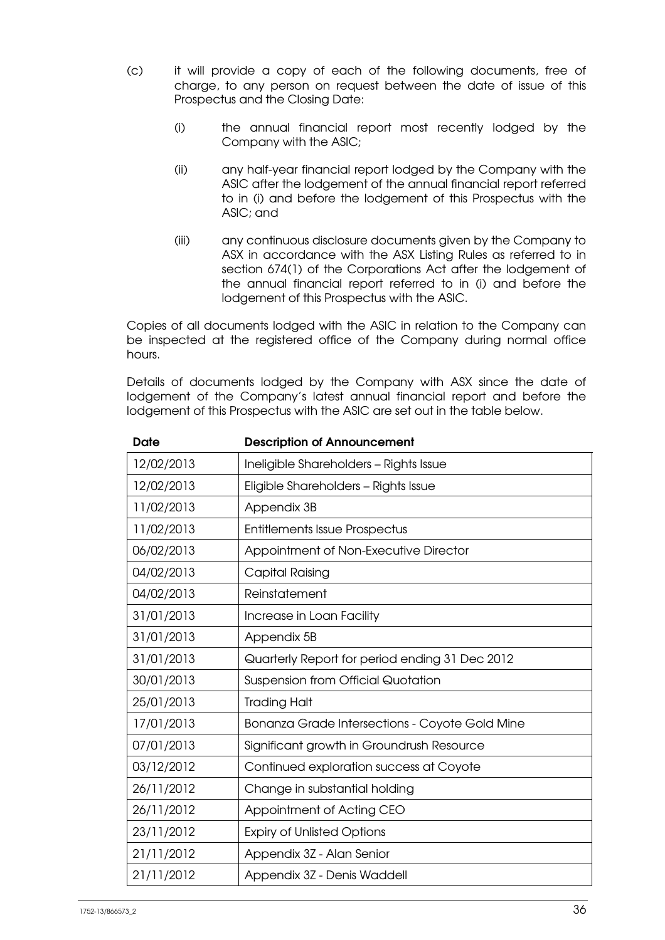- (c) it will provide a copy of each of the following documents, free of charge, to any person on request between the date of issue of this Prospectus and the Closing Date:
	- (i) the annual financial report most recently lodged by the Company with the ASIC;
	- (ii) any half-year financial report lodged by the Company with the ASIC after the lodgement of the annual financial report referred to in (i) and before the lodgement of this Prospectus with the ASIC; and
	- (iii) any continuous disclosure documents given by the Company to ASX in accordance with the ASX Listing Rules as referred to in section 674(1) of the Corporations Act after the lodgement of the annual financial report referred to in (i) and before the lodgement of this Prospectus with the ASIC.

Copies of all documents lodged with the ASIC in relation to the Company can be inspected at the registered office of the Company during normal office hours.

Details of documents lodged by the Company with ASX since the date of lodgement of the Company's latest annual financial report and before the lodgement of this Prospectus with the ASIC are set out in the table below.

| <b>Date</b> | <b>Description of Announcement</b>                    |
|-------------|-------------------------------------------------------|
| 12/02/2013  | Ineligible Shareholders - Rights Issue                |
| 12/02/2013  | Eligible Shareholders - Rights Issue                  |
| 11/02/2013  | Appendix 3B                                           |
| 11/02/2013  | <b>Entitlements Issue Prospectus</b>                  |
| 06/02/2013  | Appointment of Non-Executive Director                 |
| 04/02/2013  | Capital Raising                                       |
| 04/02/2013  | Reinstatement                                         |
| 31/01/2013  | Increase in Loan Facility                             |
| 31/01/2013  | Appendix 5B                                           |
| 31/01/2013  | Quarterly Report for period ending 31 Dec 2012        |
| 30/01/2013  | <b>Suspension from Official Quotation</b>             |
| 25/01/2013  | <b>Trading Halt</b>                                   |
| 17/01/2013  | <b>Bonanza Grade Intersections - Coyote Gold Mine</b> |
| 07/01/2013  | Significant growth in Groundrush Resource             |
| 03/12/2012  | Continued exploration success at Coyote               |
| 26/11/2012  | Change in substantial holding                         |
| 26/11/2012  | Appointment of Acting CEO                             |
| 23/11/2012  | <b>Expiry of Unlisted Options</b>                     |
| 21/11/2012  | Appendix 3Z - Alan Senior                             |
| 21/11/2012  | Appendix 3Z - Denis Waddell                           |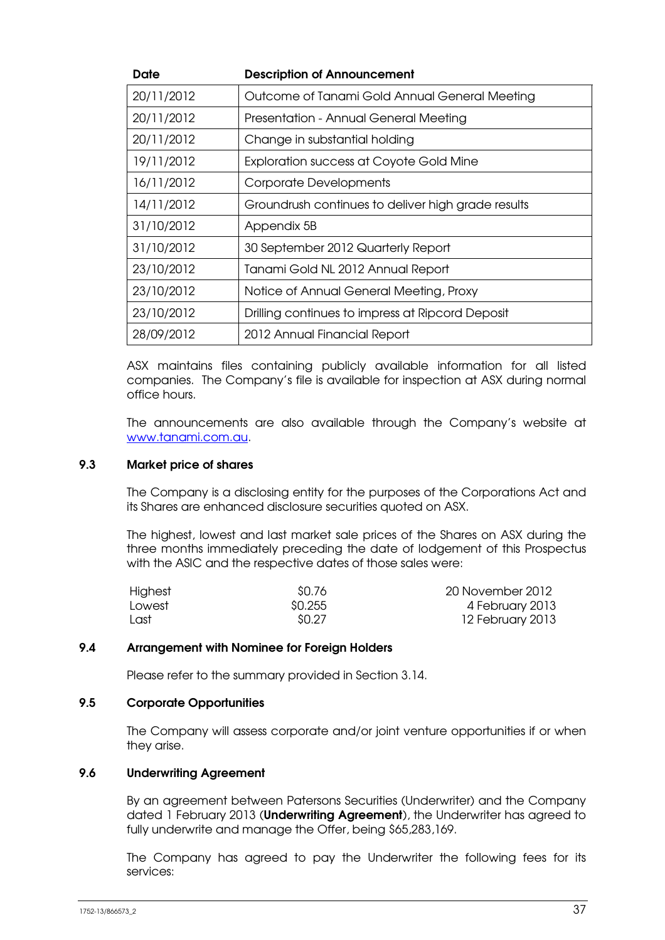| Date       | <b>Description of Announcement</b>                 |
|------------|----------------------------------------------------|
| 20/11/2012 | Outcome of Tanami Gold Annual General Meeting      |
| 20/11/2012 | Presentation - Annual General Meeting              |
| 20/11/2012 | Change in substantial holding                      |
| 19/11/2012 | <b>Exploration success at Coyote Gold Mine</b>     |
| 16/11/2012 | Corporate Developments                             |
| 14/11/2012 | Groundrush continues to deliver high grade results |
| 31/10/2012 | Appendix 5B                                        |
| 31/10/2012 | 30 September 2012 Quarterly Report                 |
| 23/10/2012 | Tanami Gold NL 2012 Annual Report                  |
| 23/10/2012 | Notice of Annual General Meeting, Proxy            |
| 23/10/2012 | Drilling continues to impress at Ripcord Deposit   |
| 28/09/2012 | 2012 Annual Financial Report                       |

ASX maintains files containing publicly available information for all listed companies. The Company's file is available for inspection at ASX during normal office hours.

The announcements are also available through the Company's website at www.tanami.com.au.

### 9.3 Market price of shares

The Company is a disclosing entity for the purposes of the Corporations Act and its Shares are enhanced disclosure securities quoted on ASX.

The highest, lowest and last market sale prices of the Shares on ASX during the three months immediately preceding the date of lodgement of this Prospectus with the ASIC and the respective dates of those sales were:

| Highest | \$0.76 | 20 November 2012 |
|---------|--------|------------------|
| Lowest  | SO.255 | 4 February 2013  |
| Last    | \$0.27 | 12 February 2013 |

### 9.4 Arrangement with Nominee for Foreign Holders

Please refer to the summary provided in Section 3.14.

### 9.5 Corporate Opportunities

The Company will assess corporate and/or joint venture opportunities if or when they arise.

### 9.6 Underwriting Agreement

By an agreement between Patersons Securities (Underwriter) and the Company dated 1 February 2013 (**Underwriting Agreement**), the Underwriter has agreed to fully underwrite and manage the Offer, being \$65,283,169.

The Company has agreed to pay the Underwriter the following fees for its services: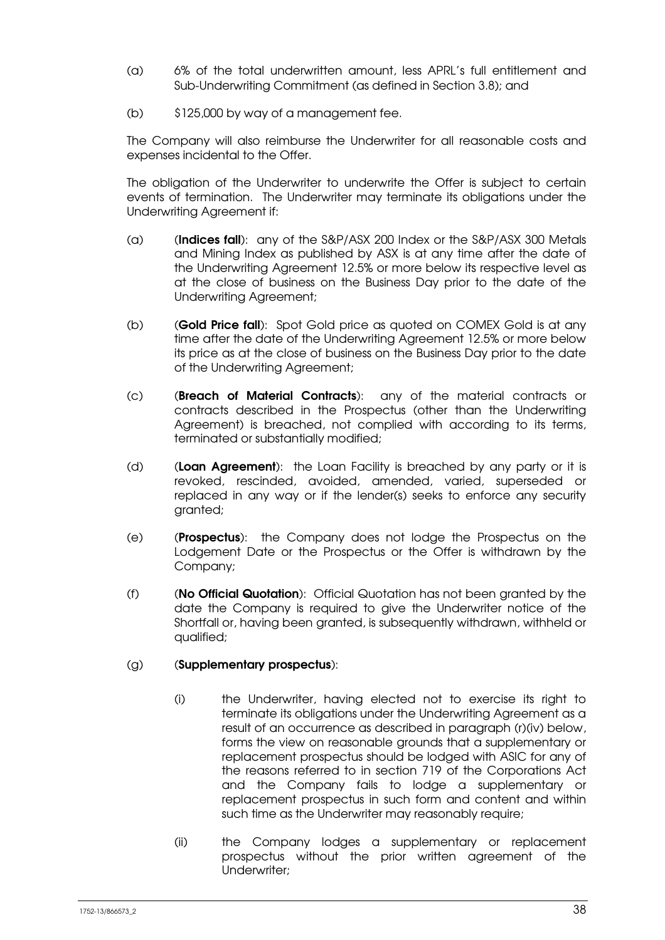- (a) 6% of the total underwritten amount, less APRL's full entitlement and Sub-Underwriting Commitment (as defined in Section 3.8); and
- (b) \$125,000 by way of a management fee.

The Company will also reimburse the Underwriter for all reasonable costs and expenses incidental to the Offer.

The obligation of the Underwriter to underwrite the Offer is subject to certain events of termination. The Underwriter may terminate its obligations under the Underwriting Agreement if:

- (a) (Indices fall): any of the S&P/ASX 200 Index or the S&P/ASX 300 Metals and Mining Index as published by ASX is at any time after the date of the Underwriting Agreement 12.5% or more below its respective level as at the close of business on the Business Day prior to the date of the Underwriting Agreement;
- (b) (Gold Price fall): Spot Gold price as quoted on COMEX Gold is at any time after the date of the Underwriting Agreement 12.5% or more below its price as at the close of business on the Business Day prior to the date of the Underwriting Agreement;
- (c) (Breach of Material Contracts): any of the material contracts or contracts described in the Prospectus (other than the Underwriting Agreement) is breached, not complied with according to its terms, terminated or substantially modified;
- (d) (Loan Agreement): the Loan Facility is breached by any party or it is revoked, rescinded, avoided, amended, varied, superseded or replaced in any way or if the lender(s) seeks to enforce any security granted;
- (e) (Prospectus): the Company does not lodge the Prospectus on the Lodgement Date or the Prospectus or the Offer is withdrawn by the Company;
- (f) (No Official Quotation): Official Quotation has not been granted by the date the Company is required to give the Underwriter notice of the Shortfall or, having been granted, is subsequently withdrawn, withheld or qualified;

# (g) (Supplementary prospectus):

- (i) the Underwriter, having elected not to exercise its right to terminate its obligations under the Underwriting Agreement as a result of an occurrence as described in paragraph (r)(iv) below, forms the view on reasonable grounds that a supplementary or replacement prospectus should be lodged with ASIC for any of the reasons referred to in section 719 of the Corporations Act and the Company fails to lodge a supplementary or replacement prospectus in such form and content and within such time as the Underwriter may reasonably require;
- (ii) the Company lodges a supplementary or replacement prospectus without the prior written agreement of the Underwriter;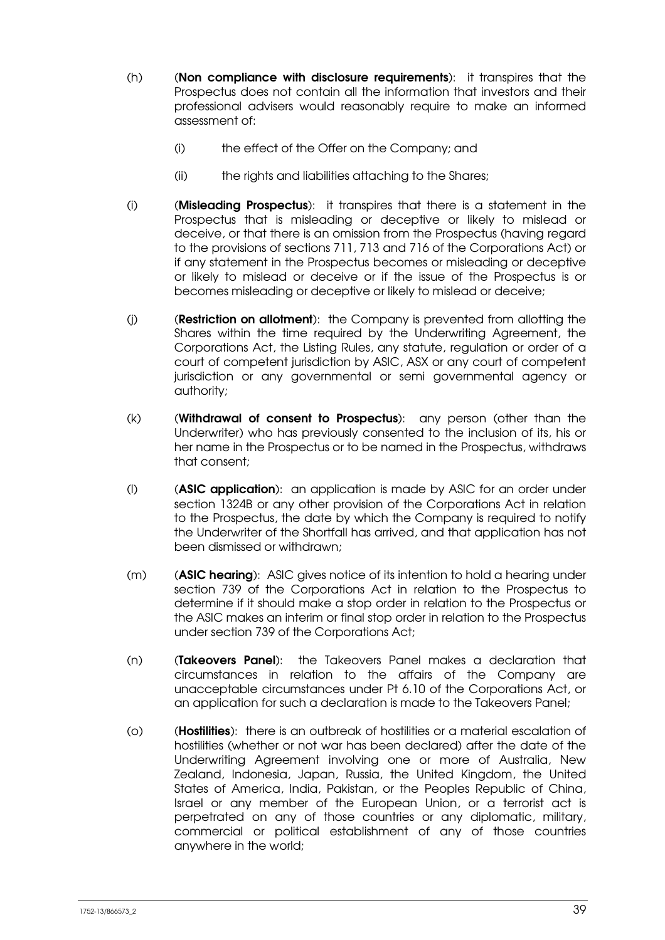- (h) (Non compliance with disclosure requirements): it transpires that the Prospectus does not contain all the information that investors and their professional advisers would reasonably require to make an informed assessment of:
	- (i) the effect of the Offer on the Company; and
	- (ii) the rights and liabilities attaching to the Shares;
- (i) (Misleading Prospectus): it transpires that there is a statement in the Prospectus that is misleading or deceptive or likely to mislead or deceive, or that there is an omission from the Prospectus (having regard to the provisions of sections 711, 713 and 716 of the Corporations Act) or if any statement in the Prospectus becomes or misleading or deceptive or likely to mislead or deceive or if the issue of the Prospectus is or becomes misleading or deceptive or likely to mislead or deceive;
- (i) (Restriction on allotment): the Company is prevented from allotting the Shares within the time required by the Underwriting Agreement, the Corporations Act, the Listing Rules, any statute, regulation or order of a court of competent jurisdiction by ASIC, ASX or any court of competent jurisdiction or any governmental or semi governmental agency or authority;
- (k) (Withdrawal of consent to Prospectus): any person (other than the Underwriter) who has previously consented to the inclusion of its, his or her name in the Prospectus or to be named in the Prospectus, withdraws that consent;
- (I) (ASIC application): an application is made by ASIC for an order under section 1324B or any other provision of the Corporations Act in relation to the Prospectus, the date by which the Company is required to notify the Underwriter of the Shortfall has arrived, and that application has not been dismissed or withdrawn;
- (m) (ASIC hearing): ASIC gives notice of its intention to hold a hearing under section 739 of the Corporations Act in relation to the Prospectus to determine if it should make a stop order in relation to the Prospectus or the ASIC makes an interim or final stop order in relation to the Prospectus under section 739 of the Corporations Act;
- (n) (Takeovers Panel): the Takeovers Panel makes a declaration that circumstances in relation to the affairs of the Company are unacceptable circumstances under Pt 6.10 of the Corporations Act, or an application for such a declaration is made to the Takeovers Panel;
- (o) (Hostilities): there is an outbreak of hostilities or a material escalation of hostilities (whether or not war has been declared) after the date of the Underwriting Agreement involving one or more of Australia, New Zealand, Indonesia, Japan, Russia, the United Kingdom, the United States of America, India, Pakistan, or the Peoples Republic of China, Israel or any member of the European Union, or a terrorist act is perpetrated on any of those countries or any diplomatic, military, commercial or political establishment of any of those countries anywhere in the world;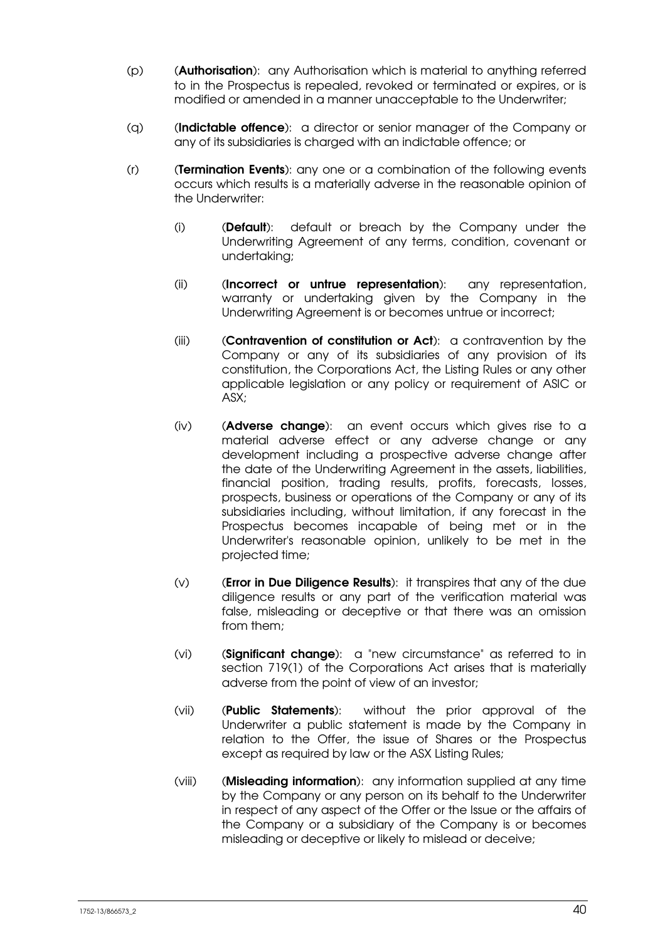- (p) (Authorisation): any Authorisation which is material to anything referred to in the Prospectus is repealed, revoked or terminated or expires, or is modified or amended in a manner unacceptable to the Underwriter;
- (q) (Indictable offence): a director or senior manager of the Company or any of its subsidiaries is charged with an indictable offence; or
- $(r)$  (Termination Events): any one or a combination of the following events occurs which results is a materially adverse in the reasonable opinion of the Underwriter:
	- (i) (Default): default or breach by the Company under the Underwriting Agreement of any terms, condition, covenant or undertaking;
	- (ii) (Incorrect or untrue representation): any representation, warranty or undertaking given by the Company in the Underwriting Agreement is or becomes untrue or incorrect;
	- (iii) (Contravention of constitution or Act): a contravention by the Company or any of its subsidiaries of any provision of its constitution, the Corporations Act, the Listing Rules or any other applicable legislation or any policy or requirement of ASIC or ASX;
	- (iv) (Adverse change): an event occurs which gives rise to a material adverse effect or any adverse change or any development including a prospective adverse change after the date of the Underwriting Agreement in the assets, liabilities, financial position, trading results, profits, forecasts, losses, prospects, business or operations of the Company or any of its subsidiaries including, without limitation, if any forecast in the Prospectus becomes incapable of being met or in the Underwriter's reasonable opinion, unlikely to be met in the projected time;
	- $(v)$  (Error in Due Diligence Results): it transpires that any of the due diligence results or any part of the verification material was false, misleading or deceptive or that there was an omission from them;
	- (vi) (Significant change): a "new circumstance" as referred to in section 719(1) of the Corporations Act arises that is materially adverse from the point of view of an investor;
	- (vii) (Public Statements): without the prior approval of the Underwriter a public statement is made by the Company in relation to the Offer, the issue of Shares or the Prospectus except as required by law or the ASX Listing Rules;
	- (viii) (Misleading information): any information supplied at any time by the Company or any person on its behalf to the Underwriter in respect of any aspect of the Offer or the Issue or the affairs of the Company or a subsidiary of the Company is or becomes misleading or deceptive or likely to mislead or deceive;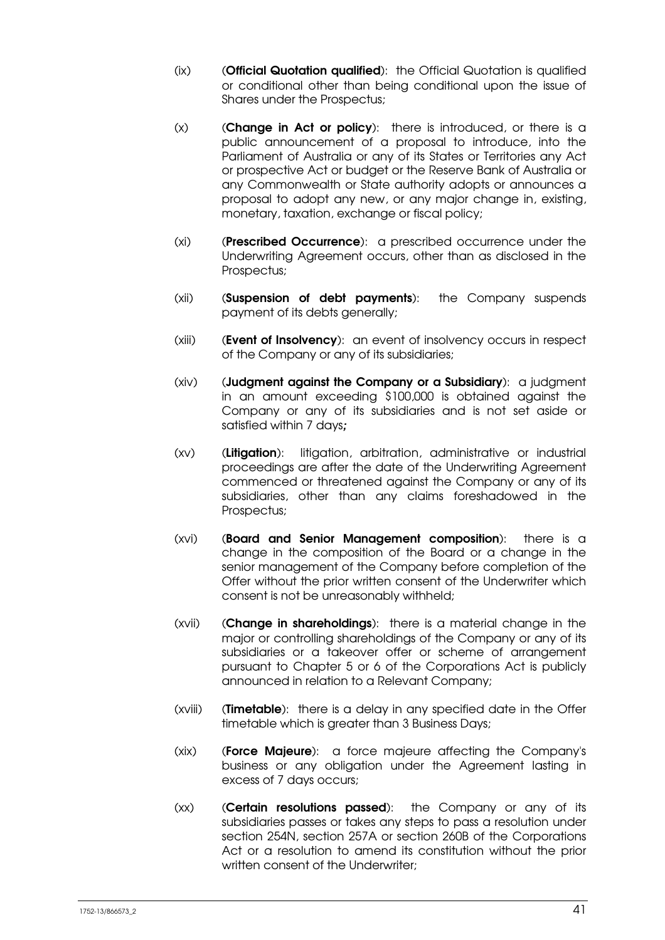- (ix) (Official Quotation qualified): the Official Quotation is qualified or conditional other than being conditional upon the issue of Shares under the Prospectus;
- $(x)$  (Change in Act or policy): there is introduced, or there is a public announcement of a proposal to introduce, into the Parliament of Australia or any of its States or Territories any Act or prospective Act or budget or the Reserve Bank of Australia or any Commonwealth or State authority adopts or announces a proposal to adopt any new, or any major change in, existing, monetary, taxation, exchange or fiscal policy;
- (xi) (Prescribed Occurrence): a prescribed occurrence under the Underwriting Agreement occurs, other than as disclosed in the Prospectus;
- (xii) (Suspension of debt payments): the Company suspends payment of its debts generally;
- (xiii) (Event of Insolvency): an event of insolvency occurs in respect of the Company or any of its subsidiaries;
- $(xiv)$  (Judgment against the Company or a Subsidiary): a judgment in an amount exceeding \$100,000 is obtained against the Company or any of its subsidiaries and is not set aside or satisfied within 7 days;
- (xv) (Litigation): litigation, arbitration, administrative or industrial proceedings are after the date of the Underwriting Agreement commenced or threatened against the Company or any of its subsidiaries, other than any claims foreshadowed in the Prospectus;
- (xvi) (Board and Senior Management composition): there is a change in the composition of the Board or a change in the senior management of the Company before completion of the Offer without the prior written consent of the Underwriter which consent is not be unreasonably withheld;
- (xvii) (Change in shareholdings): there is a material change in the major or controlling shareholdings of the Company or any of its subsidiaries or a takeover offer or scheme of arrangement pursuant to Chapter 5 or 6 of the Corporations Act is publicly announced in relation to a Relevant Company;
- (xviii) (Timetable): there is a delay in any specified date in the Offer timetable which is greater than 3 Business Days;
- (xix) (Force Majeure): a force majeure affecting the Company's business or any obligation under the Agreement lasting in excess of 7 days occurs;
- (xx) (Certain resolutions passed): the Company or any of its subsidiaries passes or takes any steps to pass a resolution under section 254N, section 257A or section 260B of the Corporations Act or a resolution to amend its constitution without the prior written consent of the Underwriter;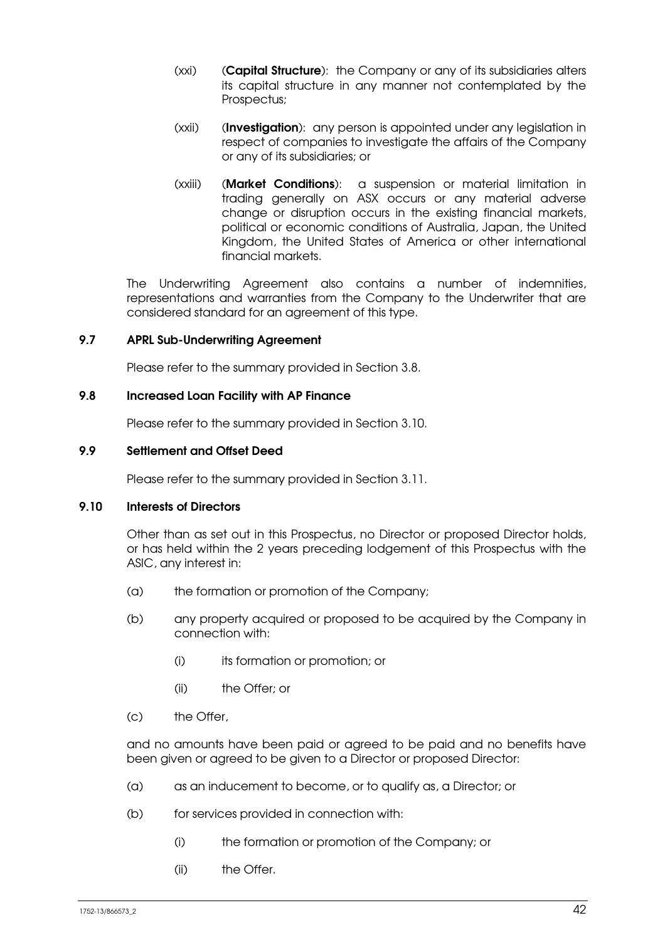- (xxi) (Capital Structure): the Company or any of its subsidiaries alters its capital structure in any manner not contemplated by the Prospectus;
- (xxii) (Investigation): any person is appointed under any legislation in respect of companies to investigate the affairs of the Company or any of its subsidiaries; or
- (xxiii) (Market Conditions): a suspension or material limitation in trading generally on ASX occurs or any material adverse change or disruption occurs in the existing financial markets, political or economic conditions of Australia, Japan, the United Kingdom, the United States of America or other international financial markets.

The Underwriting Agreement also contains a number of indemnities, representations and warranties from the Company to the Underwriter that are considered standard for an agreement of this type.

# 9.7 APRL Sub-Underwriting Agreement

Please refer to the summary provided in Section 3.8.

### 9.8 Increased Loan Facility with AP Finance

Please refer to the summary provided in Section 3.10.

### 9.9 Settlement and Offset Deed

Please refer to the summary provided in Section 3.11.

### 9.10 Interests of Directors

Other than as set out in this Prospectus, no Director or proposed Director holds, or has held within the 2 years preceding lodgement of this Prospectus with the ASIC, any interest in:

- (a) the formation or promotion of the Company;
- (b) any property acquired or proposed to be acquired by the Company in connection with:
	- (i) its formation or promotion; or
	- (ii) the Offer; or
- (c) the Offer,

and no amounts have been paid or agreed to be paid and no benefits have been given or agreed to be given to a Director or proposed Director:

- (a) as an inducement to become, or to qualify as, a Director; or
- (b) for services provided in connection with:
	- (i) the formation or promotion of the Company; or
	- (ii) the Offer.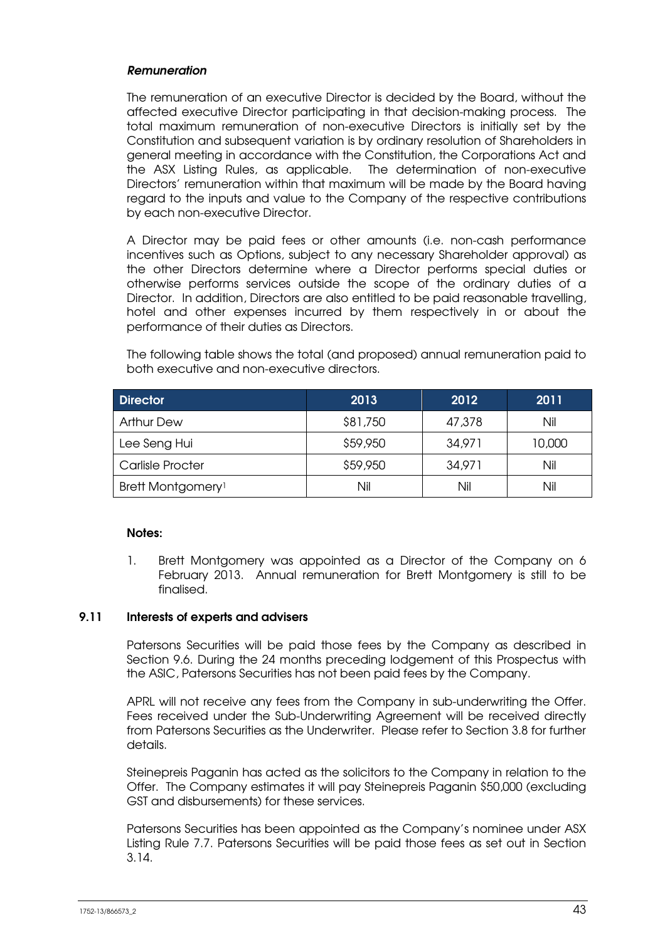### Remuneration

The remuneration of an executive Director is decided by the Board, without the affected executive Director participating in that decision-making process. The total maximum remuneration of non-executive Directors is initially set by the Constitution and subsequent variation is by ordinary resolution of Shareholders in general meeting in accordance with the Constitution, the Corporations Act and the ASX Listing Rules, as applicable. The determination of non-executive Directors' remuneration within that maximum will be made by the Board having regard to the inputs and value to the Company of the respective contributions by each non-executive Director.

A Director may be paid fees or other amounts (i.e. non-cash performance incentives such as Options, subject to any necessary Shareholder approval) as the other Directors determine where a Director performs special duties or otherwise performs services outside the scope of the ordinary duties of a Director. In addition, Directors are also entitled to be paid reasonable travelling, hotel and other expenses incurred by them respectively in or about the performance of their duties as Directors.

The following table shows the total (and proposed) annual remuneration paid to both executive and non-executive directors.

| <b>Director</b>               | 2013     | 2012   | 2011   |
|-------------------------------|----------|--------|--------|
| Arthur Dew                    | \$81,750 | 47,378 | Nil    |
| Lee Seng Hui                  | \$59,950 | 34,971 | 10,000 |
| <b>Carlisle Procter</b>       | \$59,950 | 34,971 | Nil    |
| Brett Montgomery <sup>1</sup> | Nil      | Nil    | Nil    |

### Notes:

1. Brett Montgomery was appointed as a Director of the Company on 6 February 2013. Annual remuneration for Brett Montgomery is still to be finalised.

### 9.11 Interests of experts and advisers

Patersons Securities will be paid those fees by the Company as described in Section 9.6. During the 24 months preceding lodgement of this Prospectus with the ASIC, Patersons Securities has not been paid fees by the Company.

APRL will not receive any fees from the Company in sub-underwriting the Offer. Fees received under the Sub-Underwriting Agreement will be received directly from Patersons Securities as the Underwriter. Please refer to Section 3.8 for further details.

Steinepreis Paganin has acted as the solicitors to the Company in relation to the Offer. The Company estimates it will pay Steinepreis Paganin \$50,000 (excluding GST and disbursements) for these services.

Patersons Securities has been appointed as the Company's nominee under ASX Listing Rule 7.7. Patersons Securities will be paid those fees as set out in Section 3.14.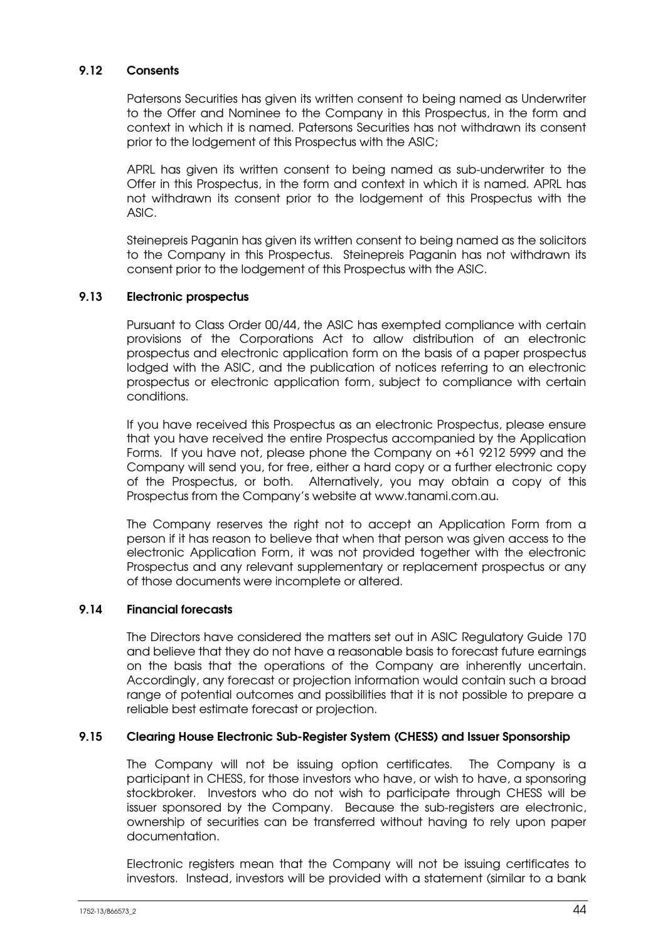# 9.12 Consents

Patersons Securities has given its written consent to being named as Underwriter to the Offer and Nominee to the Company in this Prospectus, in the form and context in which it is named. Patersons Securities has not withdrawn its consent prior to the lodgement of this Prospectus with the ASIC;

APRL has given its written consent to being named as sub-underwriter to the Offer in this Prospectus, in the form and context in which it is named. APRL has not withdrawn its consent prior to the lodgement of this Prospectus with the ASIC.

Steinepreis Paganin has given its written consent to being named as the solicitors to the Company in this Prospectus. Steinepreis Paganin has not withdrawn its consent prior to the lodgement of this Prospectus with the ASIC.

# 9.13 Electronic prospectus

Pursuant to Class Order 00/44, the ASIC has exempted compliance with certain provisions of the Corporations Act to allow distribution of an electronic prospectus and electronic application form on the basis of a paper prospectus lodged with the ASIC, and the publication of notices referring to an electronic prospectus or electronic application form, subject to compliance with certain conditions.

If you have received this Prospectus as an electronic Prospectus, please ensure that you have received the entire Prospectus accompanied by the Application Forms. If you have not, please phone the Company on +61 9212 5999 and the Company will send you, for free, either a hard copy or a further electronic copy of the Prospectus, or both. Alternatively, you may obtain a copy of this Prospectus from the Company's website at www.tanami.com.au.

The Company reserves the right not to accept an Application Form from a person if it has reason to believe that when that person was given access to the electronic Application Form, it was not provided together with the electronic Prospectus and any relevant supplementary or replacement prospectus or any of those documents were incomplete or altered.

### 9.14 Financial forecasts

The Directors have considered the matters set out in ASIC Regulatory Guide 170 and believe that they do not have a reasonable basis to forecast future earnings on the basis that the operations of the Company are inherently uncertain. Accordingly, any forecast or projection information would contain such a broad range of potential outcomes and possibilities that it is not possible to prepare a reliable best estimate forecast or projection.

### 9.15 Clearing House Electronic Sub-Register System (CHESS) and Issuer Sponsorship

The Company will not be issuing option certificates. The Company is a participant in CHESS, for those investors who have, or wish to have, a sponsoring stockbroker. Investors who do not wish to participate through CHESS will be issuer sponsored by the Company. Because the sub-registers are electronic, ownership of securities can be transferred without having to rely upon paper documentation.

Electronic registers mean that the Company will not be issuing certificates to investors. Instead, investors will be provided with a statement (similar to a bank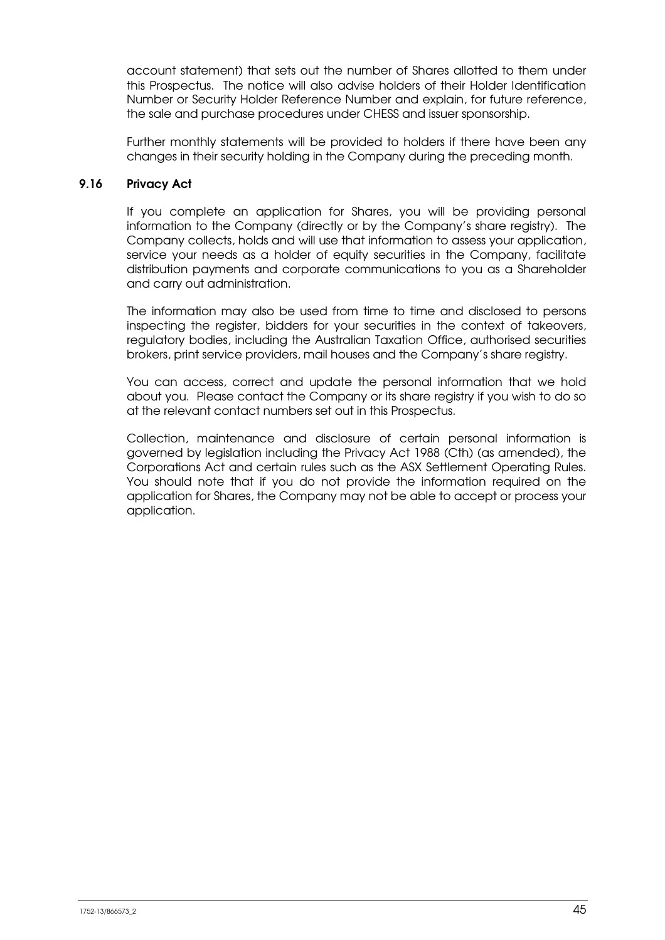account statement) that sets out the number of Shares allotted to them under this Prospectus. The notice will also advise holders of their Holder Identification Number or Security Holder Reference Number and explain, for future reference, the sale and purchase procedures under CHESS and issuer sponsorship.

Further monthly statements will be provided to holders if there have been any changes in their security holding in the Company during the preceding month.

### 9.16 Privacy Act

If you complete an application for Shares, you will be providing personal information to the Company (directly or by the Company's share registry). The Company collects, holds and will use that information to assess your application, service your needs as a holder of equity securities in the Company, facilitate distribution payments and corporate communications to you as a Shareholder and carry out administration.

The information may also be used from time to time and disclosed to persons inspecting the register, bidders for your securities in the context of takeovers, regulatory bodies, including the Australian Taxation Office, authorised securities brokers, print service providers, mail houses and the Company's share registry.

You can access, correct and update the personal information that we hold about you. Please contact the Company or its share registry if you wish to do so at the relevant contact numbers set out in this Prospectus.

Collection, maintenance and disclosure of certain personal information is governed by legislation including the Privacy Act 1988 (Cth) (as amended), the Corporations Act and certain rules such as the ASX Settlement Operating Rules. You should note that if you do not provide the information required on the application for Shares, the Company may not be able to accept or process your application.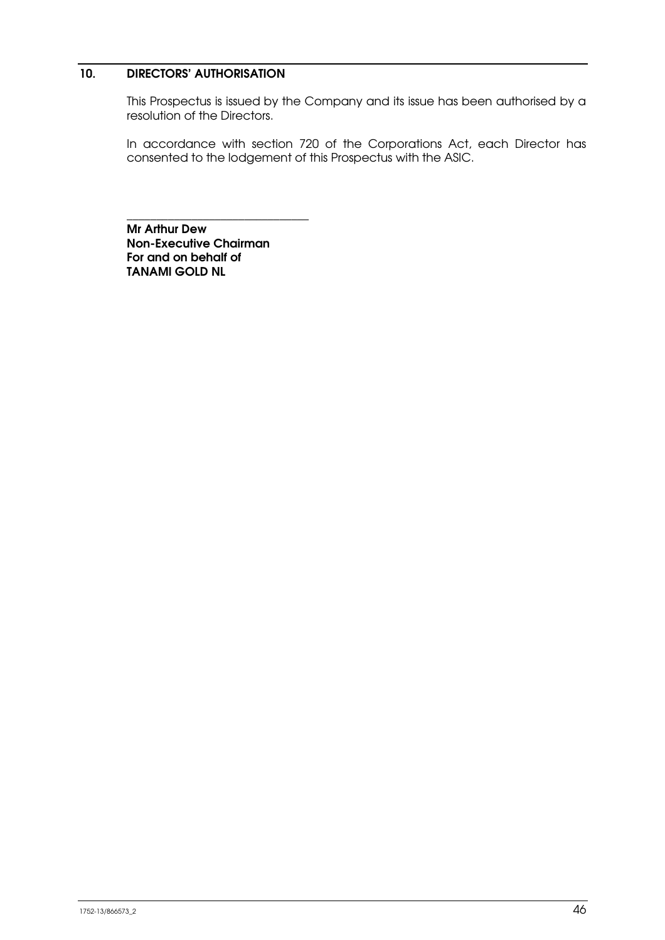# 10. DIRECTORS' AUTHORISATION

This Prospectus is issued by the Company and its issue has been authorised by a resolution of the Directors.

In accordance with section 720 of the Corporations Act, each Director has consented to the lodgement of this Prospectus with the ASIC.

Mr Arthur Dew Non-Executive Chairman For and on behalf of TANAMI GOLD NL

\_\_\_\_\_\_\_\_\_\_\_\_\_\_\_\_\_\_\_\_\_\_\_\_\_\_\_\_\_\_\_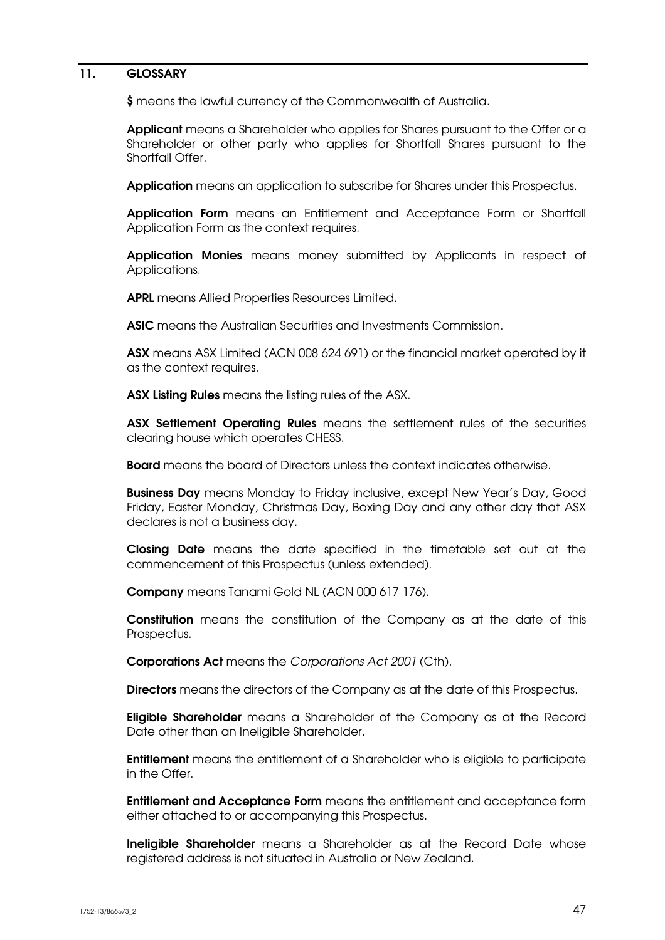### 11. GLOSSARY

\$ means the lawful currency of the Commonwealth of Australia.

Applicant means a Shareholder who applies for Shares pursuant to the Offer or a Shareholder or other party who applies for Shortfall Shares pursuant to the Shortfall Offer.

Application means an application to subscribe for Shares under this Prospectus.

Application Form means an Entitlement and Acceptance Form or Shortfall Application Form as the context requires.

Application Monies means money submitted by Applicants in respect of Applications.

APRL means Allied Properties Resources Limited.

ASIC means the Australian Securities and Investments Commission.

ASX means ASX Limited (ACN 008 624 691) or the financial market operated by it as the context requires.

ASX Listing Rules means the listing rules of the ASX.

ASX Settlement Operating Rules means the settlement rules of the securities clearing house which operates CHESS.

**Board** means the board of Directors unless the context indicates otherwise.

**Business Day** means Monday to Friday inclusive, except New Year's Day, Good Friday, Easter Monday, Christmas Day, Boxing Day and any other day that ASX declares is not a business day.

Closing Date means the date specified in the timetable set out at the commencement of this Prospectus (unless extended).

Company means Tanami Gold NL (ACN 000 617 176).

Constitution means the constitution of the Company as at the date of this Prospectus.

Corporations Act means the Corporations Act 2001 (Cth).

Directors means the directors of the Company as at the date of this Prospectus.

**Eligible Shareholder** means a Shareholder of the Company as at the Record Date other than an Ineligible Shareholder.

**Entitlement** means the entitlement of a Shareholder who is eligible to participate in the Offer.

**Entitlement and Acceptance Form** means the entitlement and acceptance form either attached to or accompanying this Prospectus.

Ineligible Shareholder means a Shareholder as at the Record Date whose registered address is not situated in Australia or New Zealand.